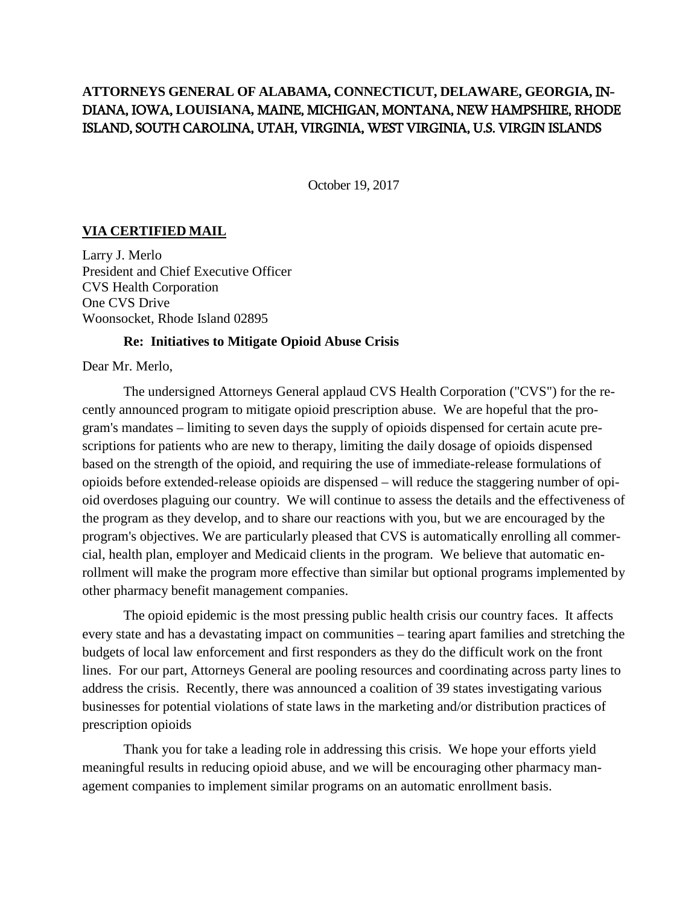# **ATTORNEYS GENERAL OF ALABAMA, CONNECTICUT, DELAWARE, GEORGIA,** IN-DIANA, IOWA, **LOUISIANA,** MAINE, MICHIGAN, MONTANA, NEW HAMPSHIRE, RHODE ISLAND, SOUTH CAROLINA, UTAH, VIRGINIA, WEST VIRGINIA, U.S. VIRGIN ISLANDS

October 19, 2017

## **VIA CERTIFIED MAIL**

Larry J. Merlo President and Chief Executive Officer CVS Health Corporation One CVS Drive Woonsocket, Rhode Island 02895

### **Re: Initiatives to Mitigate Opioid Abuse Crisis**

Dear Mr. Merlo,

The undersigned Attorneys General applaud CVS Health Corporation ("CVS") for the recently announced program to mitigate opioid prescription abuse. We are hopeful that the program's mandates – limiting to seven days the supply of opioids dispensed for certain acute prescriptions for patients who are new to therapy, limiting the daily dosage of opioids dispensed based on the strength of the opioid, and requiring the use of immediate-release formulations of opioids before extended-release opioids are dispensed – will reduce the staggering number of opioid overdoses plaguing our country. We will continue to assess the details and the effectiveness of the program as they develop, and to share our reactions with you, but we are encouraged by the program's objectives. We are particularly pleased that CVS is automatically enrolling all commercial, health plan, employer and Medicaid clients in the program. We believe that automatic enrollment will make the program more effective than similar but optional programs implemented by other pharmacy benefit management companies.

The opioid epidemic is the most pressing public health crisis our country faces. It affects every state and has a devastating impact on communities – tearing apart families and stretching the budgets of local law enforcement and first responders as they do the difficult work on the front lines. For our part, Attorneys General are pooling resources and coordinating across party lines to address the crisis. Recently, there was announced a coalition of 39 states investigating various businesses for potential violations of state laws in the marketing and/or distribution practices of prescription opioids

Thank you for take a leading role in addressing this crisis. We hope your efforts yield meaningful results in reducing opioid abuse, and we will be encouraging other pharmacy management companies to implement similar programs on an automatic enrollment basis.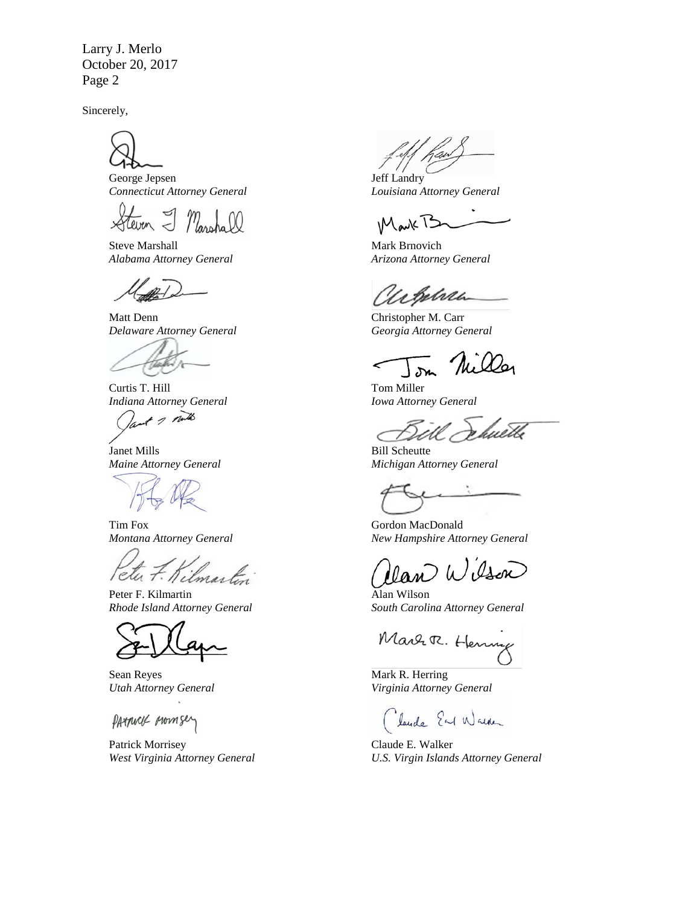Larry J. Merlo October 20, 2017 Page 2

George Jepsen *Connecticut Attorney General*

Steve Marshall *Alabama Attorney General*

Matt Denn *Delaware Attorney General*

Curtis T. Hill *Indiana Attorney General*

at of puts

Janet Mills *Maine Attorney General*

Tim Fox *Montana Attorney General*

lmartin  $leq l$ ut./

Peter F. Kilmartin *Rhode Island Attorney General*

Sean Reyes *Utah Attorney General*

PATTUCK MOMSer

Patrick Morrisey *West Virginia Attorney General*

Jeff Landry *Louisiana Attorney General*

Marki

Mark Brnovich *Arizona Attorney General*

Whena

Christopher M. Carr *Georgia Attorney General*

Tom Miller *Iowa Attorney General*

wette

Bill Scheutte *Michigan Attorney General*

Gordon MacDonald *New Hampshire Attorney General*

Wilson

Alan Wilson *South Carolina Attorney General*

Marr R. Henny

Mark R. Herring *Virginia Attorney General*

Thurde Earl Warner

Claude E. Walker *U.S. Virgin Islands Attorney General*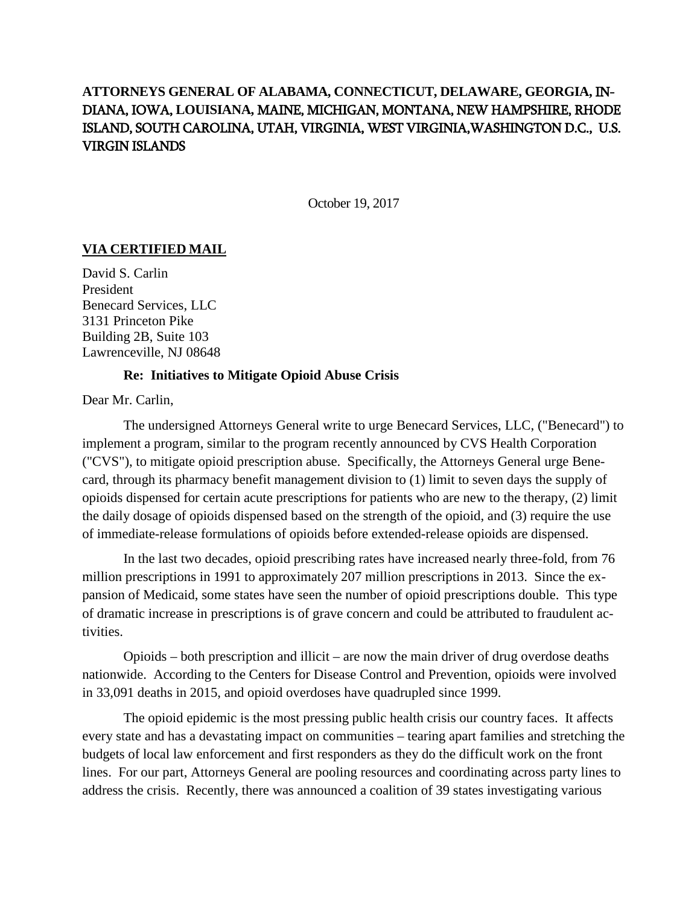# **ATTORNEYS GENERAL OF ALABAMA, CONNECTICUT, DELAWARE, GEORGIA,** IN-DIANA, IOWA, **LOUISIANA,** MAINE, MICHIGAN, MONTANA, NEW HAMPSHIRE, RHODE ISLAND, SOUTH CAROLINA, UTAH, VIRGINIA, WEST VIRGINIA,WASHINGTON D.C., U.S. VIRGIN ISLANDS

October 19, 2017

## **VIA CERTIFIED MAIL**

David S. Carlin President Benecard Services, LLC 3131 Princeton Pike Building 2B, Suite 103 Lawrenceville, NJ 08648

## **Re: Initiatives to Mitigate Opioid Abuse Crisis**

Dear Mr. Carlin,

The undersigned Attorneys General write to urge Benecard Services, LLC, ("Benecard") to implement a program, similar to the program recently announced by CVS Health Corporation ("CVS"), to mitigate opioid prescription abuse. Specifically, the Attorneys General urge Benecard, through its pharmacy benefit management division to (1) limit to seven days the supply of opioids dispensed for certain acute prescriptions for patients who are new to the therapy, (2) limit the daily dosage of opioids dispensed based on the strength of the opioid, and (3) require the use of immediate-release formulations of opioids before extended-release opioids are dispensed.

In the last two decades, opioid prescribing rates have increased nearly three-fold, from 76 million prescriptions in 1991 to approximately 207 million prescriptions in 2013. Since the expansion of Medicaid, some states have seen the number of opioid prescriptions double. This type of dramatic increase in prescriptions is of grave concern and could be attributed to fraudulent activities.

Opioids – both prescription and illicit – are now the main driver of drug overdose deaths nationwide. According to the Centers for Disease Control and Prevention, opioids were involved in 33,091 deaths in 2015, and opioid overdoses have quadrupled since 1999.

The opioid epidemic is the most pressing public health crisis our country faces. It affects every state and has a devastating impact on communities – tearing apart families and stretching the budgets of local law enforcement and first responders as they do the difficult work on the front lines. For our part, Attorneys General are pooling resources and coordinating across party lines to address the crisis. Recently, there was announced a coalition of 39 states investigating various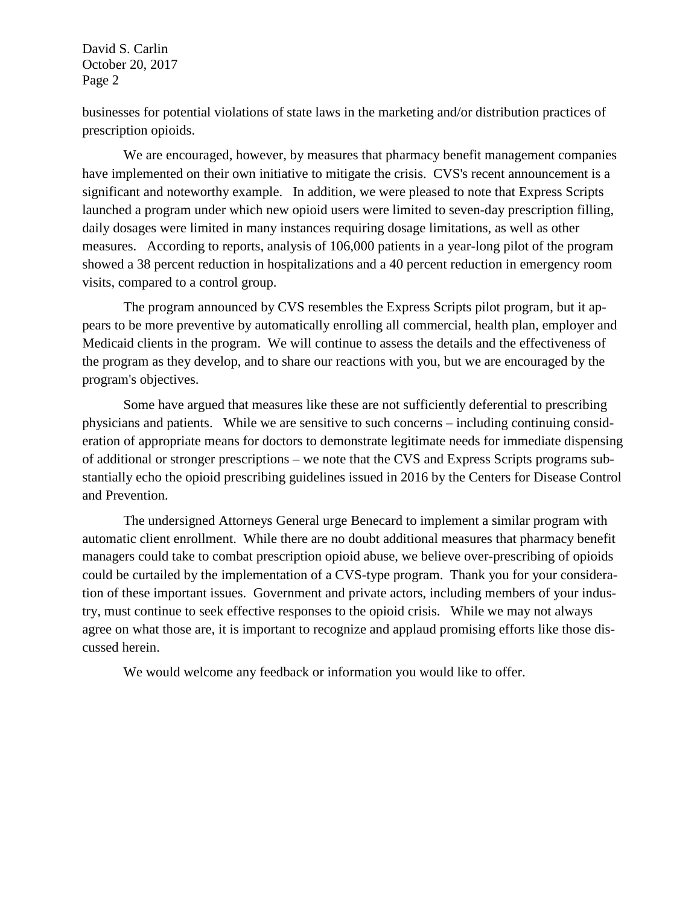David S. Carlin October 20, 2017 Page 2

businesses for potential violations of state laws in the marketing and/or distribution practices of prescription opioids.

We are encouraged, however, by measures that pharmacy benefit management companies have implemented on their own initiative to mitigate the crisis. CVS's recent announcement is a significant and noteworthy example. In addition, we were pleased to note that Express Scripts launched a program under which new opioid users were limited to seven-day prescription filling, daily dosages were limited in many instances requiring dosage limitations, as well as other measures. According to reports, analysis of 106,000 patients in a year-long pilot of the program showed a 38 percent reduction in hospitalizations and a 40 percent reduction in emergency room visits, compared to a control group.

The program announced by CVS resembles the Express Scripts pilot program, but it appears to be more preventive by automatically enrolling all commercial, health plan, employer and Medicaid clients in the program. We will continue to assess the details and the effectiveness of the program as they develop, and to share our reactions with you, but we are encouraged by the program's objectives.

Some have argued that measures like these are not sufficiently deferential to prescribing physicians and patients. While we are sensitive to such concerns – including continuing consideration of appropriate means for doctors to demonstrate legitimate needs for immediate dispensing of additional or stronger prescriptions – we note that the CVS and Express Scripts programs substantially echo the opioid prescribing guidelines issued in 2016 by the Centers for Disease Control and Prevention.

The undersigned Attorneys General urge Benecard to implement a similar program with automatic client enrollment. While there are no doubt additional measures that pharmacy benefit managers could take to combat prescription opioid abuse, we believe over-prescribing of opioids could be curtailed by the implementation of a CVS-type program. Thank you for your consideration of these important issues. Government and private actors, including members of your industry, must continue to seek effective responses to the opioid crisis. While we may not always agree on what those are, it is important to recognize and applaud promising efforts like those discussed herein.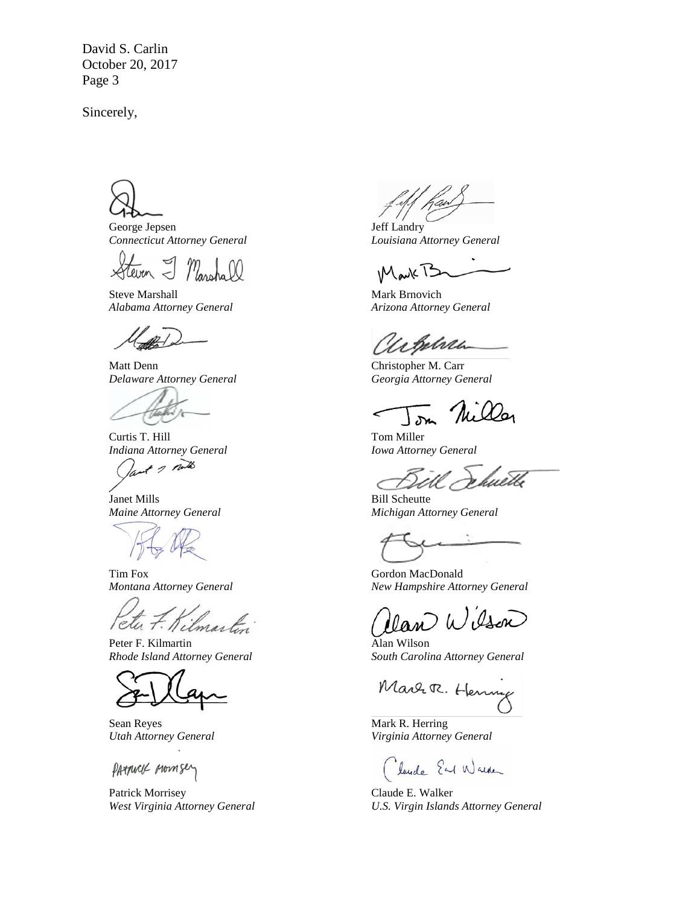David S. Carlin October 20, 2017 Page 3

George Jepsen *Connecticut Attorney General*

Steve Marshall *Alabama Attorney General*

Matt Denn *Delaware Attorney General*

Curtis T. Hill *Indiana Attorney General*

of a north

Janet Mills *Maine Attorney General*

Tim Fox *Montana Attorney General*

Tetu 7. Kilmerk

Peter F. Kilmartin *Rhode Island Attorney General*

Sean Reyes *Utah Attorney General*

PATTUCK Momsey

Patrick Morrisey *West Virginia Attorney General*

Jeff Landry *Louisiana Attorney General*

**IMark** T

Mark Brnovich *Arizona Attorney General*

Urphra

Christopher M. Carr *Georgia Attorney General*

Tom Miller *Iowa Attorney General*

luetle

Bill Scheutte *Michigan Attorney General*

Gordon MacDonald *New Hampshire Attorney General*

Wilson

Alan Wilson *South Carolina Attorney General*

Mart R. Henny

Mark R. Herring *Virginia Attorney General*

Claude Earl Warker

Claude E. Walker *U.S. Virgin Islands Attorney General*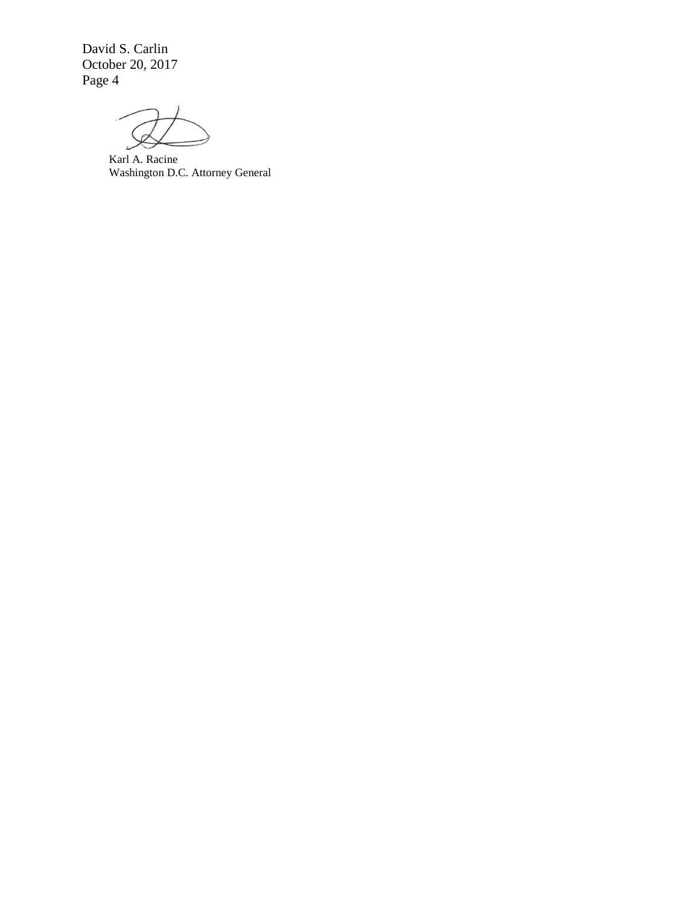David S. Carlin October 20, 2017 Page 4

Karl A. Racine Washington D.C. Attorney General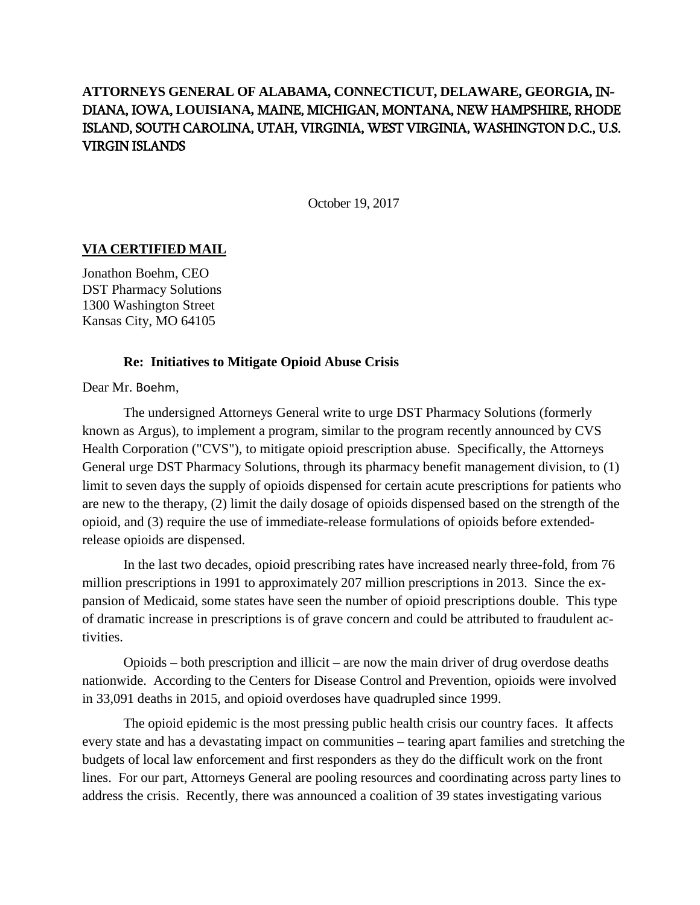# **ATTORNEYS GENERAL OF ALABAMA, CONNECTICUT, DELAWARE, GEORGIA,** IN-DIANA, IOWA, **LOUISIANA,** MAINE, MICHIGAN, MONTANA, NEW HAMPSHIRE, RHODE ISLAND, SOUTH CAROLINA, UTAH, VIRGINIA, WEST VIRGINIA, WASHINGTON D.C., U.S. VIRGIN ISLANDS

October 19, 2017

## **VIA CERTIFIED MAIL**

Jonathon Boehm, CEO DST Pharmacy Solutions 1300 Washington Street Kansas City, MO 64105

### **Re: Initiatives to Mitigate Opioid Abuse Crisis**

Dear Mr. Boehm,

The undersigned Attorneys General write to urge DST Pharmacy Solutions (formerly known as Argus), to implement a program, similar to the program recently announced by CVS Health Corporation ("CVS"), to mitigate opioid prescription abuse. Specifically, the Attorneys General urge DST Pharmacy Solutions, through its pharmacy benefit management division, to (1) limit to seven days the supply of opioids dispensed for certain acute prescriptions for patients who are new to the therapy, (2) limit the daily dosage of opioids dispensed based on the strength of the opioid, and (3) require the use of immediate-release formulations of opioids before extendedrelease opioids are dispensed.

In the last two decades, opioid prescribing rates have increased nearly three-fold, from 76 million prescriptions in 1991 to approximately 207 million prescriptions in 2013. Since the expansion of Medicaid, some states have seen the number of opioid prescriptions double. This type of dramatic increase in prescriptions is of grave concern and could be attributed to fraudulent activities.

Opioids – both prescription and illicit – are now the main driver of drug overdose deaths nationwide. According to the Centers for Disease Control and Prevention, opioids were involved in 33,091 deaths in 2015, and opioid overdoses have quadrupled since 1999.

The opioid epidemic is the most pressing public health crisis our country faces. It affects every state and has a devastating impact on communities – tearing apart families and stretching the budgets of local law enforcement and first responders as they do the difficult work on the front lines. For our part, Attorneys General are pooling resources and coordinating across party lines to address the crisis. Recently, there was announced a coalition of 39 states investigating various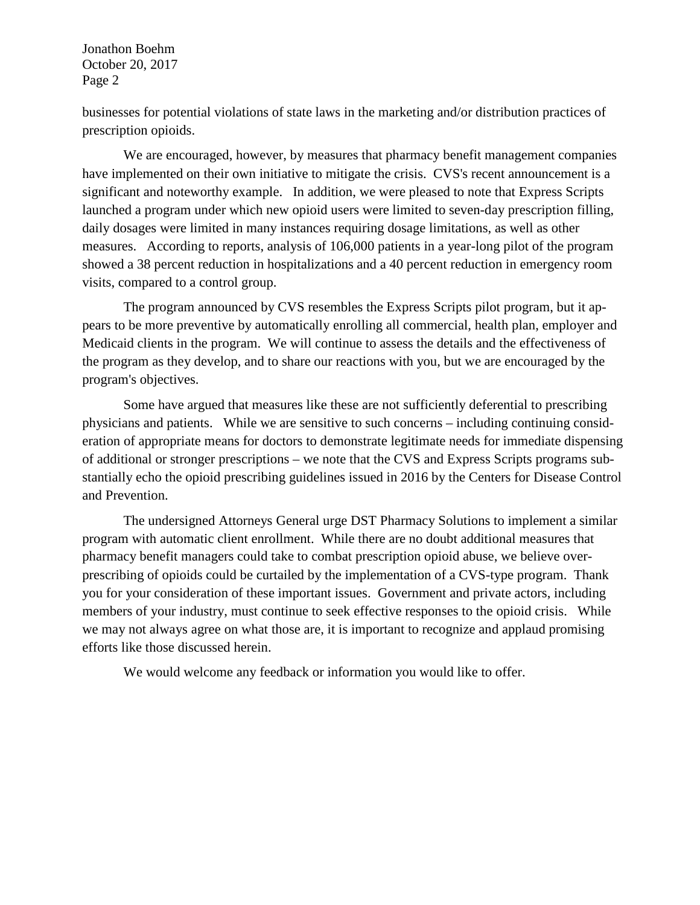Jonathon Boehm October 20, 2017 Page 2

businesses for potential violations of state laws in the marketing and/or distribution practices of prescription opioids.

We are encouraged, however, by measures that pharmacy benefit management companies have implemented on their own initiative to mitigate the crisis. CVS's recent announcement is a significant and noteworthy example. In addition, we were pleased to note that Express Scripts launched a program under which new opioid users were limited to seven-day prescription filling, daily dosages were limited in many instances requiring dosage limitations, as well as other measures. According to reports, analysis of 106,000 patients in a year-long pilot of the program showed a 38 percent reduction in hospitalizations and a 40 percent reduction in emergency room visits, compared to a control group.

The program announced by CVS resembles the Express Scripts pilot program, but it appears to be more preventive by automatically enrolling all commercial, health plan, employer and Medicaid clients in the program. We will continue to assess the details and the effectiveness of the program as they develop, and to share our reactions with you, but we are encouraged by the program's objectives.

Some have argued that measures like these are not sufficiently deferential to prescribing physicians and patients. While we are sensitive to such concerns – including continuing consideration of appropriate means for doctors to demonstrate legitimate needs for immediate dispensing of additional or stronger prescriptions – we note that the CVS and Express Scripts programs substantially echo the opioid prescribing guidelines issued in 2016 by the Centers for Disease Control and Prevention.

The undersigned Attorneys General urge DST Pharmacy Solutions to implement a similar program with automatic client enrollment. While there are no doubt additional measures that pharmacy benefit managers could take to combat prescription opioid abuse, we believe overprescribing of opioids could be curtailed by the implementation of a CVS-type program. Thank you for your consideration of these important issues. Government and private actors, including members of your industry, must continue to seek effective responses to the opioid crisis. While we may not always agree on what those are, it is important to recognize and applaud promising efforts like those discussed herein.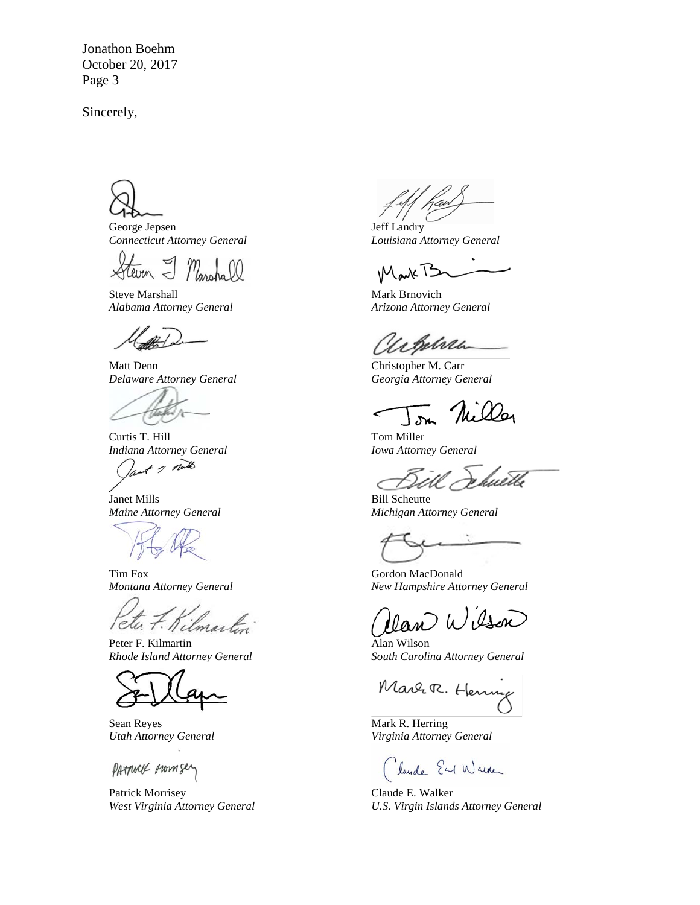Jonathon Boehm October 20, 2017 Page 3

George Jepsen *Connecticut Attorney General*

Steve Marshall *Alabama Attorney General*

Matt Denn *Delaware Attorney General*

Curtis T. Hill *Indiana Attorney General*

of I take

Janet Mills *Maine Attorney General*

Tim Fox *Montana Attorney General*

Tetu 7. Kilmartin

Peter F. Kilmartin *Rhode Island Attorney General*

Sean Reyes *Utah Attorney General*

PATTUCK Momsey

Patrick Morrisey *West Virginia Attorney General*

Jeff Landry *Louisiana Attorney General*

**IMark** T

Mark Brnovich *Arizona Attorney General*

Urphra

Christopher M. Carr *Georgia Attorney General*

Tom Miller *Iowa Attorney General*

luetle

Bill Scheutte *Michigan Attorney General*

Gordon MacDonald *New Hampshire Attorney General*

Wilson

Alan Wilson *South Carolina Attorney General*

Mart R. Henny

Mark R. Herring *Virginia Attorney General*

Claude Earl Warker

Claude E. Walker *U.S. Virgin Islands Attorney General*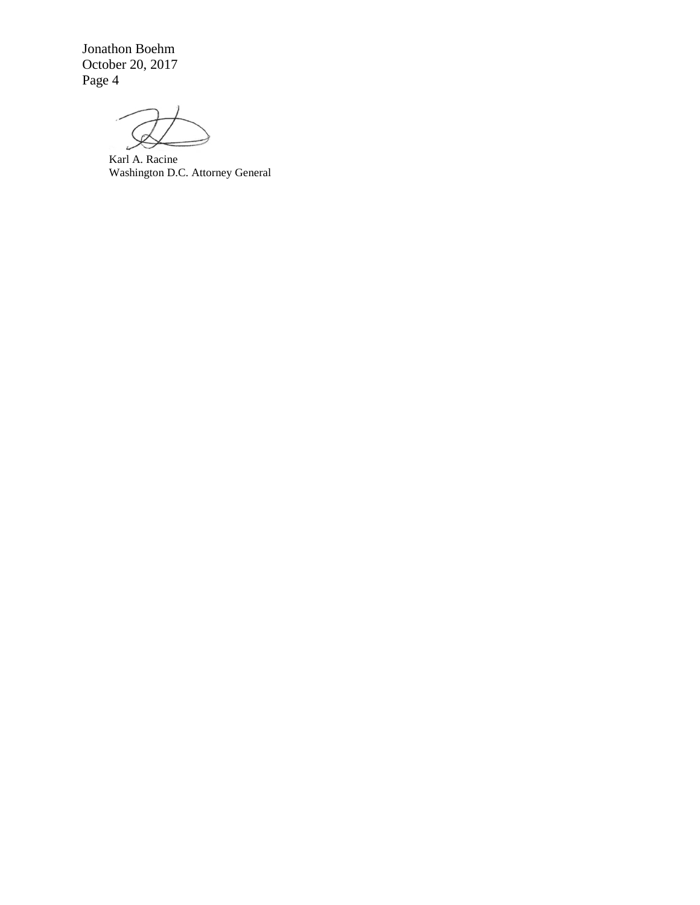Jonathon Boehm October 20, 2017 Page 4

Karl A. Racine Washington D.C. Attorney General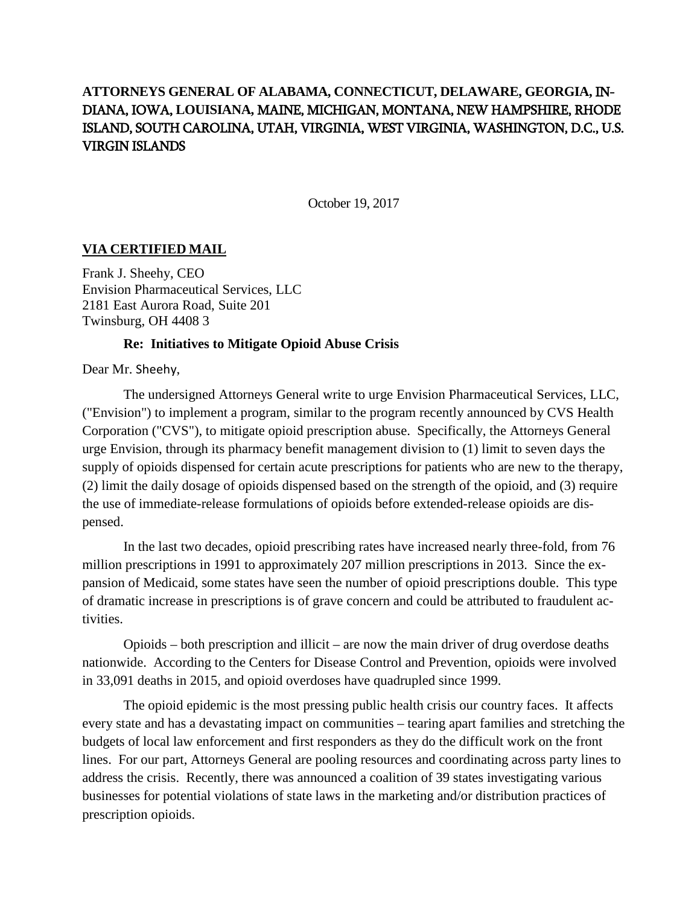# **ATTORNEYS GENERAL OF ALABAMA, CONNECTICUT, DELAWARE, GEORGIA,** IN-DIANA, IOWA, **LOUISIANA,** MAINE, MICHIGAN, MONTANA, NEW HAMPSHIRE, RHODE ISLAND, SOUTH CAROLINA, UTAH, VIRGINIA, WEST VIRGINIA, WASHINGTON, D.C., U.S. VIRGIN ISLANDS

October 19, 2017

## **VIA CERTIFIED MAIL**

Frank J. Sheehy, CEO Envision Pharmaceutical Services, LLC 2181 East Aurora Road, Suite 201 Twinsburg, OH 4408 3

#### **Re: Initiatives to Mitigate Opioid Abuse Crisis**

Dear Mr. Sheehy,

The undersigned Attorneys General write to urge Envision Pharmaceutical Services, LLC, ("Envision") to implement a program, similar to the program recently announced by CVS Health Corporation ("CVS"), to mitigate opioid prescription abuse. Specifically, the Attorneys General urge Envision, through its pharmacy benefit management division to (1) limit to seven days the supply of opioids dispensed for certain acute prescriptions for patients who are new to the therapy, (2) limit the daily dosage of opioids dispensed based on the strength of the opioid, and (3) require the use of immediate-release formulations of opioids before extended-release opioids are dispensed.

In the last two decades, opioid prescribing rates have increased nearly three-fold, from 76 million prescriptions in 1991 to approximately 207 million prescriptions in 2013. Since the expansion of Medicaid, some states have seen the number of opioid prescriptions double. This type of dramatic increase in prescriptions is of grave concern and could be attributed to fraudulent activities.

Opioids – both prescription and illicit – are now the main driver of drug overdose deaths nationwide. According to the Centers for Disease Control and Prevention, opioids were involved in 33,091 deaths in 2015, and opioid overdoses have quadrupled since 1999.

The opioid epidemic is the most pressing public health crisis our country faces. It affects every state and has a devastating impact on communities – tearing apart families and stretching the budgets of local law enforcement and first responders as they do the difficult work on the front lines. For our part, Attorneys General are pooling resources and coordinating across party lines to address the crisis. Recently, there was announced a coalition of 39 states investigating various businesses for potential violations of state laws in the marketing and/or distribution practices of prescription opioids.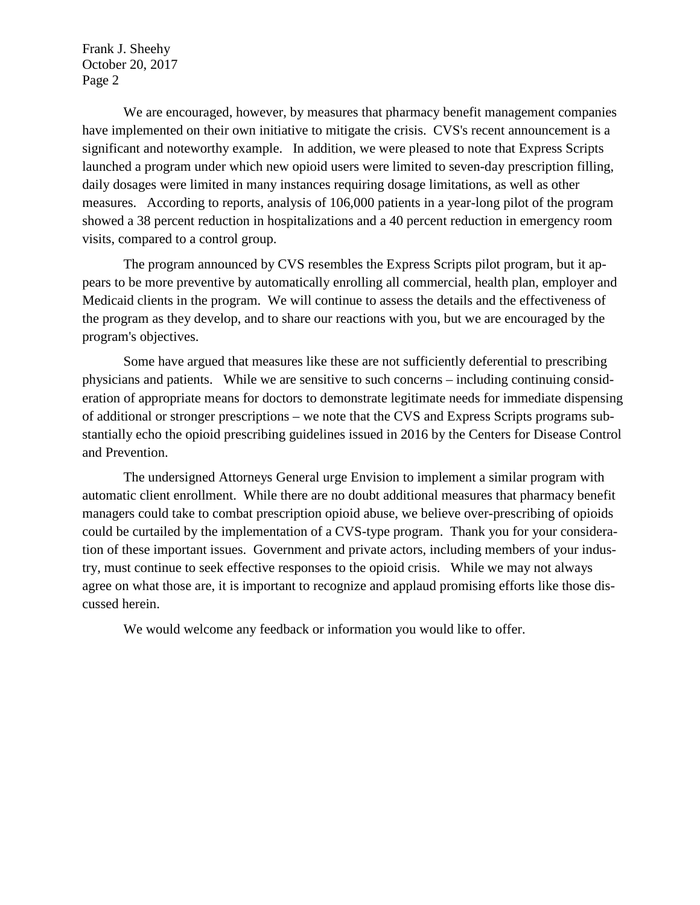Frank J. Sheehy October 20, 2017 Page 2

We are encouraged, however, by measures that pharmacy benefit management companies have implemented on their own initiative to mitigate the crisis. CVS's recent announcement is a significant and noteworthy example. In addition, we were pleased to note that Express Scripts launched a program under which new opioid users were limited to seven-day prescription filling, daily dosages were limited in many instances requiring dosage limitations, as well as other measures. According to reports, analysis of 106,000 patients in a year-long pilot of the program showed a 38 percent reduction in hospitalizations and a 40 percent reduction in emergency room visits, compared to a control group.

The program announced by CVS resembles the Express Scripts pilot program, but it appears to be more preventive by automatically enrolling all commercial, health plan, employer and Medicaid clients in the program. We will continue to assess the details and the effectiveness of the program as they develop, and to share our reactions with you, but we are encouraged by the program's objectives.

Some have argued that measures like these are not sufficiently deferential to prescribing physicians and patients. While we are sensitive to such concerns – including continuing consideration of appropriate means for doctors to demonstrate legitimate needs for immediate dispensing of additional or stronger prescriptions – we note that the CVS and Express Scripts programs substantially echo the opioid prescribing guidelines issued in 2016 by the Centers for Disease Control and Prevention.

The undersigned Attorneys General urge Envision to implement a similar program with automatic client enrollment. While there are no doubt additional measures that pharmacy benefit managers could take to combat prescription opioid abuse, we believe over-prescribing of opioids could be curtailed by the implementation of a CVS-type program. Thank you for your consideration of these important issues. Government and private actors, including members of your industry, must continue to seek effective responses to the opioid crisis. While we may not always agree on what those are, it is important to recognize and applaud promising efforts like those discussed herein.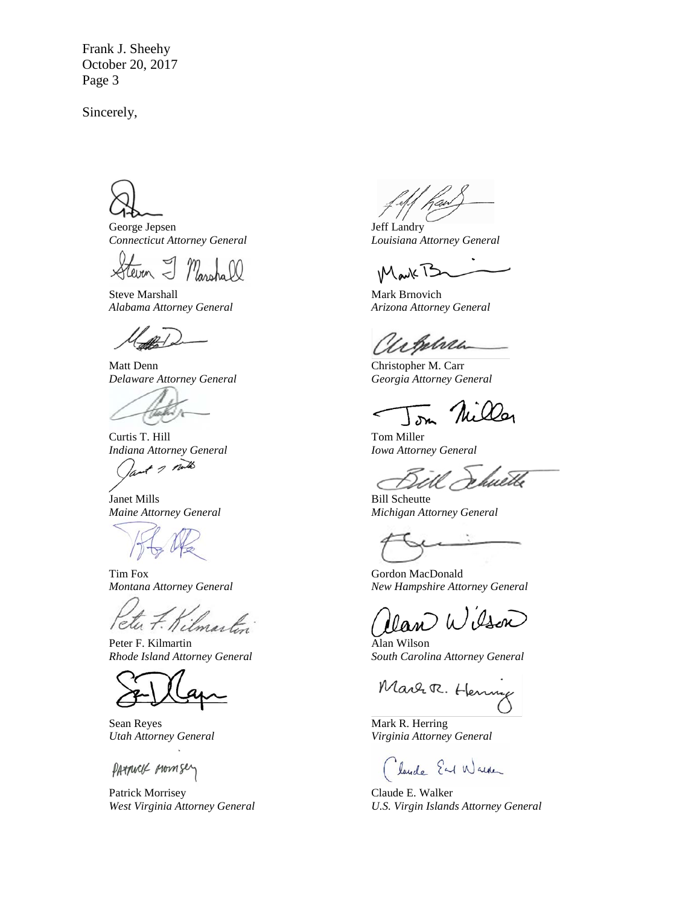Frank J. Sheehy October 20, 2017 Page 3

George Jepsen *Connecticut Attorney General*

Steve Marshall *Alabama Attorney General*

Matt Denn *Delaware Attorney General*

Curtis T. Hill *Indiana Attorney General*

of a nutto

Janet Mills *Maine Attorney General*

Tim Fox *Montana Attorney General*

Tetu 7. Kilmerk

Peter F. Kilmartin *Rhode Island Attorney General*

Sean Reyes *Utah Attorney General*

PATTUCK MOMSey

Patrick Morrisey *West Virginia Attorney General*

Jeff Landry *Louisiana Attorney General*

**IMark** T

Mark Brnovich *Arizona Attorney General*

Urphra

Christopher M. Carr *Georgia Attorney General*

Tom Miller *Iowa Attorney General*

łuetle

Bill Scheutte *Michigan Attorney General*

Gordon MacDonald *New Hampshire Attorney General*

Wilson

Alan Wilson *South Carolina Attorney General*

Mart R. Henny

Mark R. Herring *Virginia Attorney General*

Claude Earl Warker

Claude E. Walker *U.S. Virgin Islands Attorney General*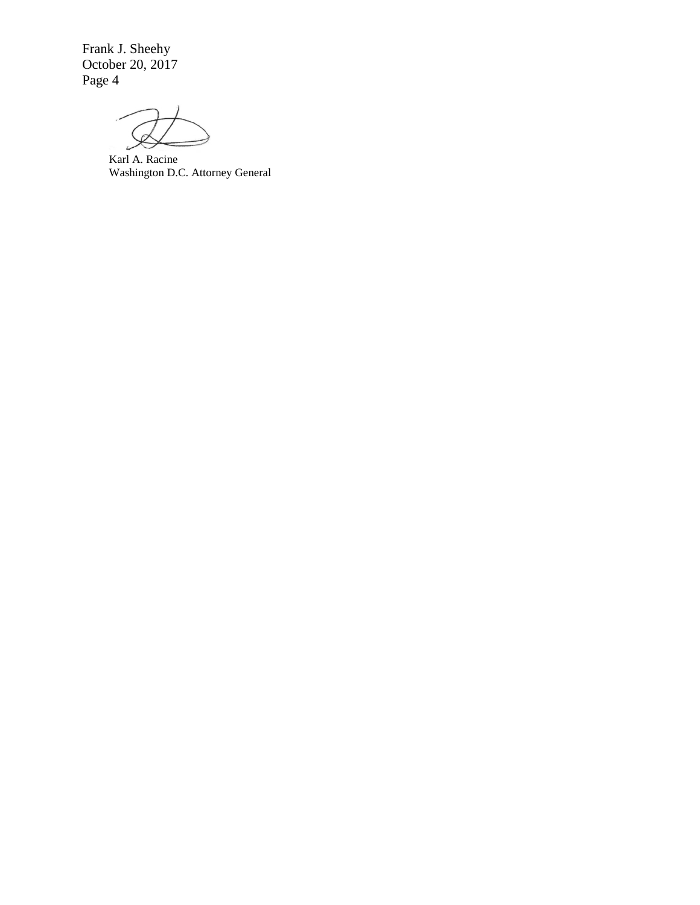Frank J. Sheehy October 20, 2017 Page 4

Karl A. Racine Washington D.C. Attorney General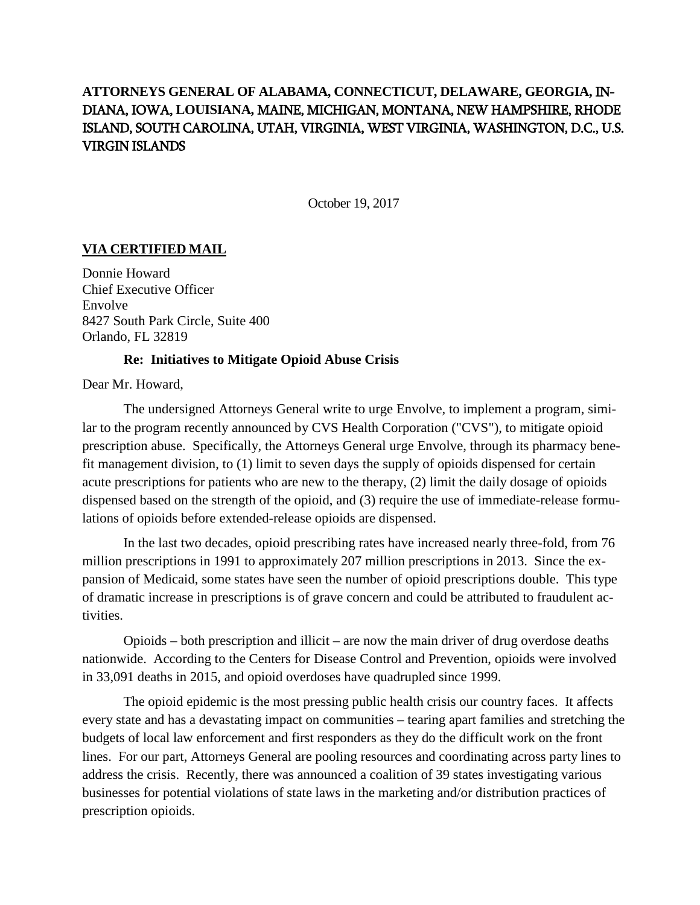# **ATTORNEYS GENERAL OF ALABAMA, CONNECTICUT, DELAWARE, GEORGIA,** IN-DIANA, IOWA, **LOUISIANA,** MAINE, MICHIGAN, MONTANA, NEW HAMPSHIRE, RHODE ISLAND, SOUTH CAROLINA, UTAH, VIRGINIA, WEST VIRGINIA, WASHINGTON, D.C., U.S. VIRGIN ISLANDS

October 19, 2017

## **VIA CERTIFIED MAIL**

Donnie Howard Chief Executive Officer Envolve 8427 South Park Circle, Suite 400 Orlando, FL 32819

### **Re: Initiatives to Mitigate Opioid Abuse Crisis**

Dear Mr. Howard,

The undersigned Attorneys General write to urge Envolve, to implement a program, similar to the program recently announced by CVS Health Corporation ("CVS"), to mitigate opioid prescription abuse. Specifically, the Attorneys General urge Envolve, through its pharmacy benefit management division, to (1) limit to seven days the supply of opioids dispensed for certain acute prescriptions for patients who are new to the therapy, (2) limit the daily dosage of opioids dispensed based on the strength of the opioid, and (3) require the use of immediate-release formulations of opioids before extended-release opioids are dispensed.

In the last two decades, opioid prescribing rates have increased nearly three-fold, from 76 million prescriptions in 1991 to approximately 207 million prescriptions in 2013. Since the expansion of Medicaid, some states have seen the number of opioid prescriptions double. This type of dramatic increase in prescriptions is of grave concern and could be attributed to fraudulent activities.

Opioids – both prescription and illicit – are now the main driver of drug overdose deaths nationwide. According to the Centers for Disease Control and Prevention, opioids were involved in 33,091 deaths in 2015, and opioid overdoses have quadrupled since 1999.

The opioid epidemic is the most pressing public health crisis our country faces. It affects every state and has a devastating impact on communities – tearing apart families and stretching the budgets of local law enforcement and first responders as they do the difficult work on the front lines. For our part, Attorneys General are pooling resources and coordinating across party lines to address the crisis. Recently, there was announced a coalition of 39 states investigating various businesses for potential violations of state laws in the marketing and/or distribution practices of prescription opioids.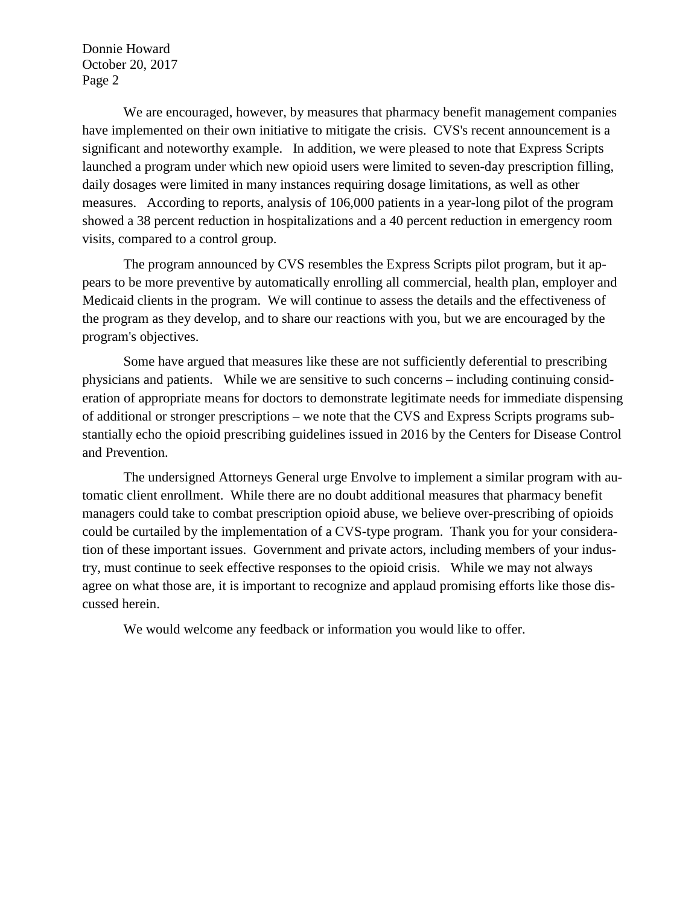Donnie Howard October 20, 2017 Page 2

We are encouraged, however, by measures that pharmacy benefit management companies have implemented on their own initiative to mitigate the crisis. CVS's recent announcement is a significant and noteworthy example. In addition, we were pleased to note that Express Scripts launched a program under which new opioid users were limited to seven-day prescription filling, daily dosages were limited in many instances requiring dosage limitations, as well as other measures. According to reports, analysis of 106,000 patients in a year-long pilot of the program showed a 38 percent reduction in hospitalizations and a 40 percent reduction in emergency room visits, compared to a control group.

The program announced by CVS resembles the Express Scripts pilot program, but it appears to be more preventive by automatically enrolling all commercial, health plan, employer and Medicaid clients in the program. We will continue to assess the details and the effectiveness of the program as they develop, and to share our reactions with you, but we are encouraged by the program's objectives.

Some have argued that measures like these are not sufficiently deferential to prescribing physicians and patients. While we are sensitive to such concerns – including continuing consideration of appropriate means for doctors to demonstrate legitimate needs for immediate dispensing of additional or stronger prescriptions – we note that the CVS and Express Scripts programs substantially echo the opioid prescribing guidelines issued in 2016 by the Centers for Disease Control and Prevention.

The undersigned Attorneys General urge Envolve to implement a similar program with automatic client enrollment. While there are no doubt additional measures that pharmacy benefit managers could take to combat prescription opioid abuse, we believe over-prescribing of opioids could be curtailed by the implementation of a CVS-type program. Thank you for your consideration of these important issues. Government and private actors, including members of your industry, must continue to seek effective responses to the opioid crisis. While we may not always agree on what those are, it is important to recognize and applaud promising efforts like those discussed herein.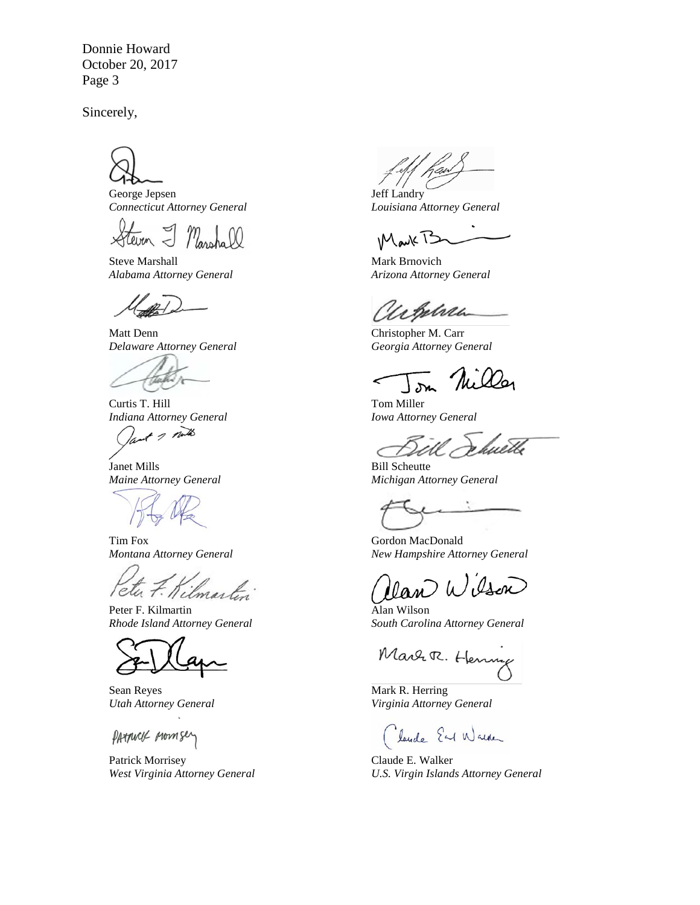Donnie Howard October 20, 2017 Page 3

George Jepsen *Connecticut Attorney General*

Steven I Marshall

Steve Marshall *Alabama Attorney General*

Matt Denn *Delaware Attorney General*

Curtis T. Hill *Indiana Attorney General*

+ 2 mills

Janet Mills *Maine Attorney General*

Tim Fox *Montana Attorney General*

Peter 7. Kilmartin

Peter F. Kilmartin *Rhode Island Attorney General*

Sean Reyes *Utah Attorney General*

PATTUCK MOMSey

Patrick Morrisey *West Virginia Attorney General*

Jeff Landry *Louisiana Attorney General*

Mark B

Mark Brnovich *Arizona Attorney General*

arbelren

Christopher M. Carr *Georgia Attorney General*

Tom Miller *Iowa Attorney General*

huette

Bill Scheutte *Michigan Attorney General*

Gordon MacDonald *New Hampshire Attorney General*

lan Wisson

Alan Wilson *South Carolina Attorney General*

Marr R. Hennie

Mark R. Herring *Virginia Attorney General*

Claude End Walker

Claude E. Walker *U.S. Virgin Islands Attorney General*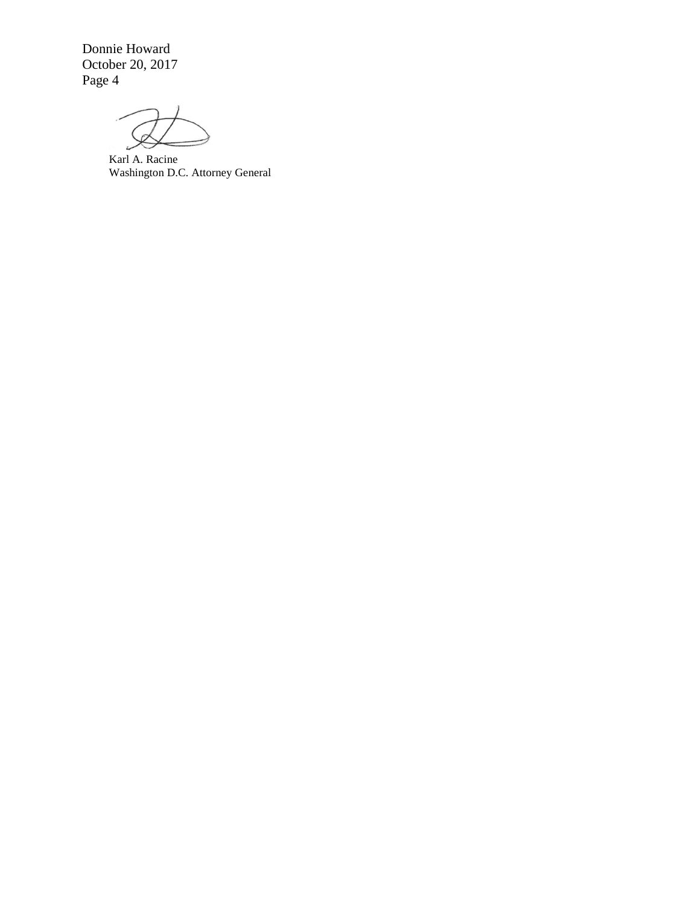Donnie Howard October 20, 2017 Page 4

Karl A. Racine Washington D.C. Attorney General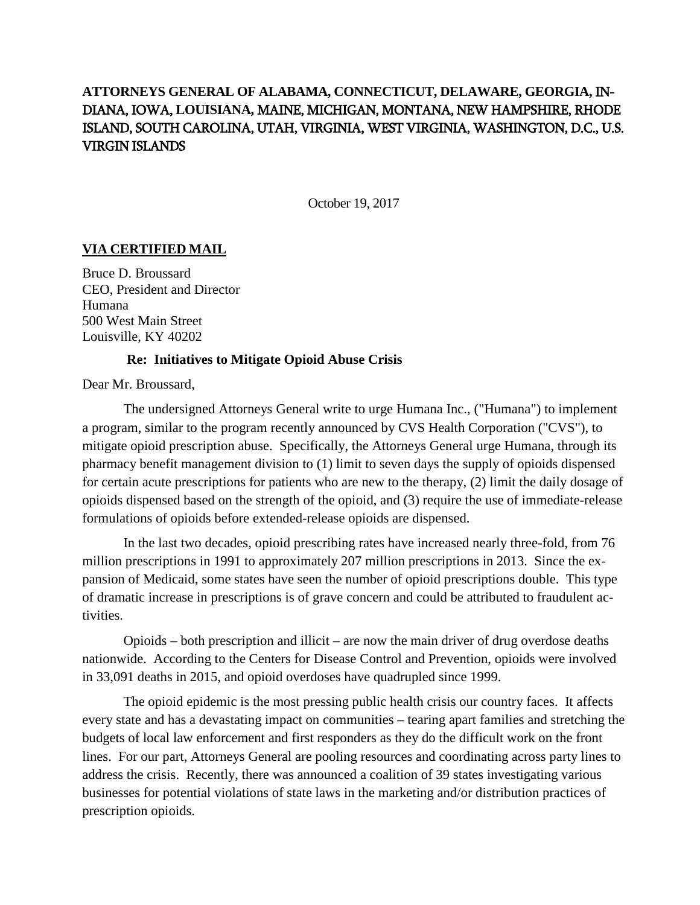# **ATTORNEYS GENERAL OF ALABAMA, CONNECTICUT, DELAWARE, GEORGIA,** IN-DIANA, IOWA, **LOUISIANA,** MAINE, MICHIGAN, MONTANA, NEW HAMPSHIRE, RHODE ISLAND, SOUTH CAROLINA, UTAH, VIRGINIA, WEST VIRGINIA, WASHINGTON, D.C., U.S. VIRGIN ISLANDS

October 19, 2017

## **VIA CERTIFIED MAIL**

Bruce D. Broussard CEO, President and Director Humana 500 West Main Street Louisville, KY 40202

#### **Re: Initiatives to Mitigate Opioid Abuse Crisis**

Dear Mr. Broussard,

The undersigned Attorneys General write to urge Humana Inc., ("Humana") to implement a program, similar to the program recently announced by CVS Health Corporation ("CVS"), to mitigate opioid prescription abuse. Specifically, the Attorneys General urge Humana, through its pharmacy benefit management division to (1) limit to seven days the supply of opioids dispensed for certain acute prescriptions for patients who are new to the therapy, (2) limit the daily dosage of opioids dispensed based on the strength of the opioid, and (3) require the use of immediate-release formulations of opioids before extended-release opioids are dispensed.

In the last two decades, opioid prescribing rates have increased nearly three-fold, from 76 million prescriptions in 1991 to approximately 207 million prescriptions in 2013. Since the expansion of Medicaid, some states have seen the number of opioid prescriptions double. This type of dramatic increase in prescriptions is of grave concern and could be attributed to fraudulent activities.

Opioids – both prescription and illicit – are now the main driver of drug overdose deaths nationwide. According to the Centers for Disease Control and Prevention, opioids were involved in 33,091 deaths in 2015, and opioid overdoses have quadrupled since 1999.

The opioid epidemic is the most pressing public health crisis our country faces. It affects every state and has a devastating impact on communities – tearing apart families and stretching the budgets of local law enforcement and first responders as they do the difficult work on the front lines. For our part, Attorneys General are pooling resources and coordinating across party lines to address the crisis. Recently, there was announced a coalition of 39 states investigating various businesses for potential violations of state laws in the marketing and/or distribution practices of prescription opioids.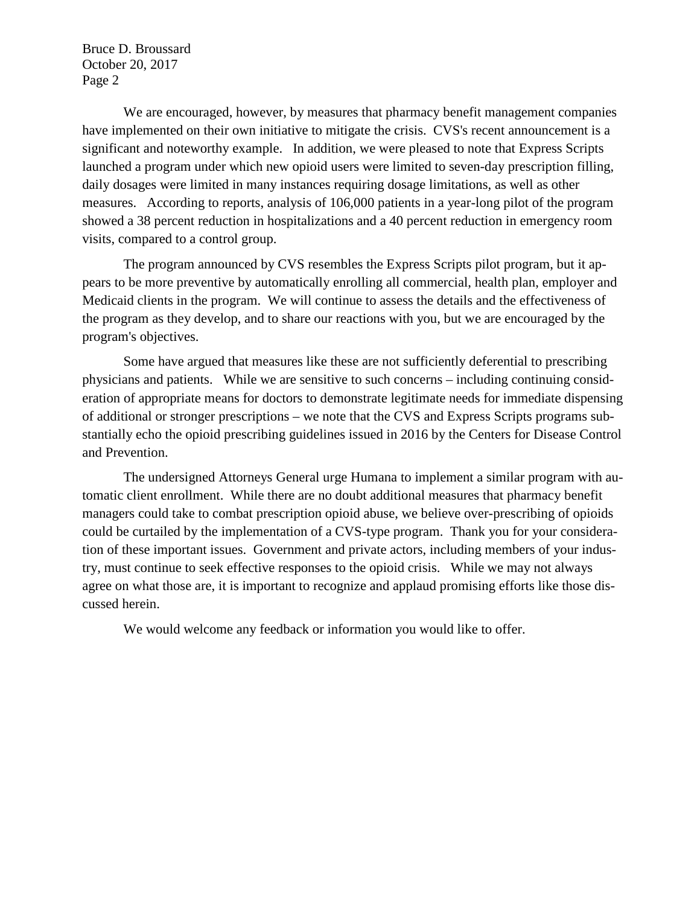Bruce D. Broussard October 20, 2017 Page 2

We are encouraged, however, by measures that pharmacy benefit management companies have implemented on their own initiative to mitigate the crisis. CVS's recent announcement is a significant and noteworthy example. In addition, we were pleased to note that Express Scripts launched a program under which new opioid users were limited to seven-day prescription filling, daily dosages were limited in many instances requiring dosage limitations, as well as other measures. According to reports, analysis of 106,000 patients in a year-long pilot of the program showed a 38 percent reduction in hospitalizations and a 40 percent reduction in emergency room visits, compared to a control group.

The program announced by CVS resembles the Express Scripts pilot program, but it appears to be more preventive by automatically enrolling all commercial, health plan, employer and Medicaid clients in the program. We will continue to assess the details and the effectiveness of the program as they develop, and to share our reactions with you, but we are encouraged by the program's objectives.

Some have argued that measures like these are not sufficiently deferential to prescribing physicians and patients. While we are sensitive to such concerns – including continuing consideration of appropriate means for doctors to demonstrate legitimate needs for immediate dispensing of additional or stronger prescriptions – we note that the CVS and Express Scripts programs substantially echo the opioid prescribing guidelines issued in 2016 by the Centers for Disease Control and Prevention.

The undersigned Attorneys General urge Humana to implement a similar program with automatic client enrollment. While there are no doubt additional measures that pharmacy benefit managers could take to combat prescription opioid abuse, we believe over-prescribing of opioids could be curtailed by the implementation of a CVS-type program. Thank you for your consideration of these important issues. Government and private actors, including members of your industry, must continue to seek effective responses to the opioid crisis. While we may not always agree on what those are, it is important to recognize and applaud promising efforts like those discussed herein.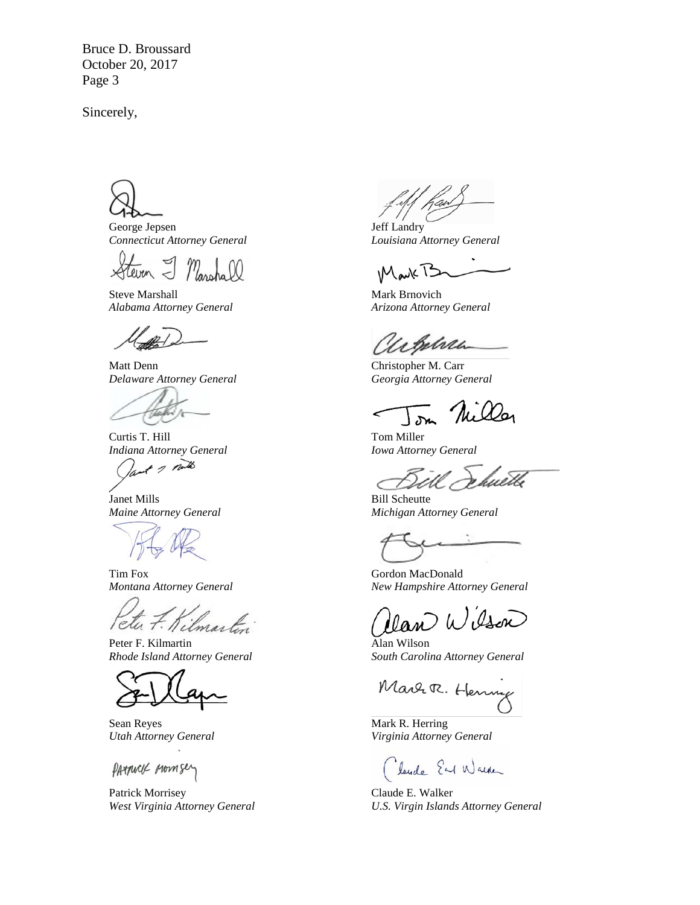Bruce D. Broussard October 20, 2017 Page 3

George Jepsen *Connecticut Attorney General*

Steve Marshall *Alabama Attorney General*

Matt Denn *Delaware Attorney General*

Curtis T. Hill *Indiana Attorney General*

of I take

Janet Mills *Maine Attorney General*

Tim Fox *Montana Attorney General*

Tetu 7. Kilmartin

Peter F. Kilmartin *Rhode Island Attorney General*

Sean Reyes *Utah Attorney General*

PATTUCK Momsey

Patrick Morrisey *West Virginia Attorney General*

Jeff Landry *Louisiana Attorney General*

**IMark** T

Mark Brnovich *Arizona Attorney General*

Urphra

Christopher M. Carr *Georgia Attorney General*

Tom Miller *Iowa Attorney General*

luetle

Bill Scheutte *Michigan Attorney General*

Gordon MacDonald *New Hampshire Attorney General*

Wilson

Alan Wilson *South Carolina Attorney General*

Mart R. Henny

Mark R. Herring *Virginia Attorney General*

Claude Earl Warker

Claude E. Walker *U.S. Virgin Islands Attorney General*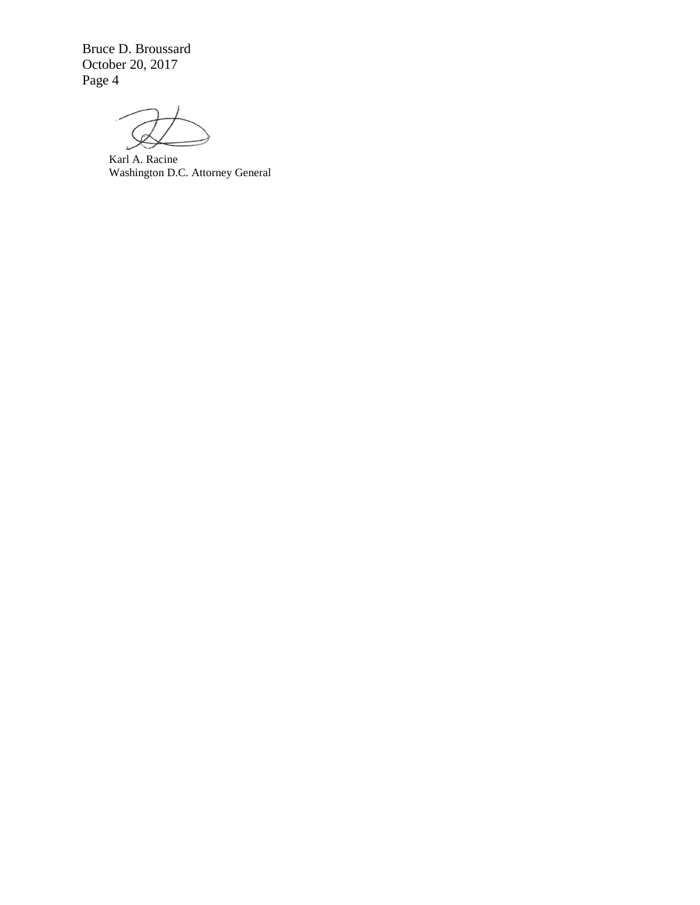Bruce D. Broussard October 20, 2017 Page 4

Karl A. Racine Washington D.C. Attorney General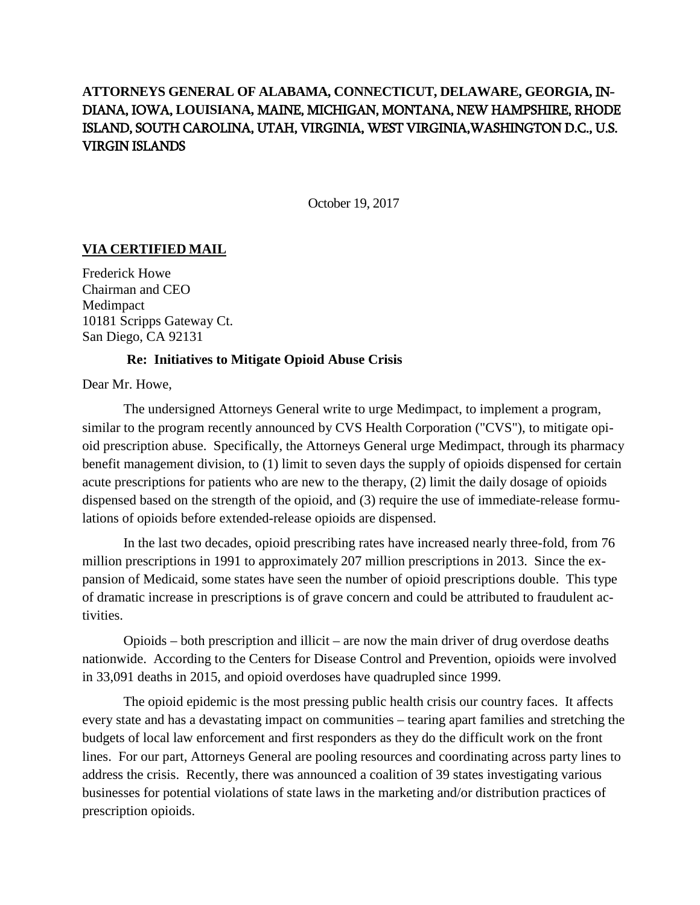# **ATTORNEYS GENERAL OF ALABAMA, CONNECTICUT, DELAWARE, GEORGIA,** IN-DIANA, IOWA, **LOUISIANA,** MAINE, MICHIGAN, MONTANA, NEW HAMPSHIRE, RHODE ISLAND, SOUTH CAROLINA, UTAH, VIRGINIA, WEST VIRGINIA,WASHINGTON D.C., U.S. VIRGIN ISLANDS

October 19, 2017

## **VIA CERTIFIED MAIL**

Frederick Howe Chairman and CEO Medimpact 10181 Scripps Gateway Ct. San Diego, CA 92131

#### **Re: Initiatives to Mitigate Opioid Abuse Crisis**

Dear Mr. Howe,

The undersigned Attorneys General write to urge Medimpact, to implement a program, similar to the program recently announced by CVS Health Corporation ("CVS"), to mitigate opioid prescription abuse. Specifically, the Attorneys General urge Medimpact, through its pharmacy benefit management division, to (1) limit to seven days the supply of opioids dispensed for certain acute prescriptions for patients who are new to the therapy, (2) limit the daily dosage of opioids dispensed based on the strength of the opioid, and (3) require the use of immediate-release formulations of opioids before extended-release opioids are dispensed.

In the last two decades, opioid prescribing rates have increased nearly three-fold, from 76 million prescriptions in 1991 to approximately 207 million prescriptions in 2013. Since the expansion of Medicaid, some states have seen the number of opioid prescriptions double. This type of dramatic increase in prescriptions is of grave concern and could be attributed to fraudulent activities.

Opioids – both prescription and illicit – are now the main driver of drug overdose deaths nationwide. According to the Centers for Disease Control and Prevention, opioids were involved in 33,091 deaths in 2015, and opioid overdoses have quadrupled since 1999.

The opioid epidemic is the most pressing public health crisis our country faces. It affects every state and has a devastating impact on communities – tearing apart families and stretching the budgets of local law enforcement and first responders as they do the difficult work on the front lines. For our part, Attorneys General are pooling resources and coordinating across party lines to address the crisis. Recently, there was announced a coalition of 39 states investigating various businesses for potential violations of state laws in the marketing and/or distribution practices of prescription opioids.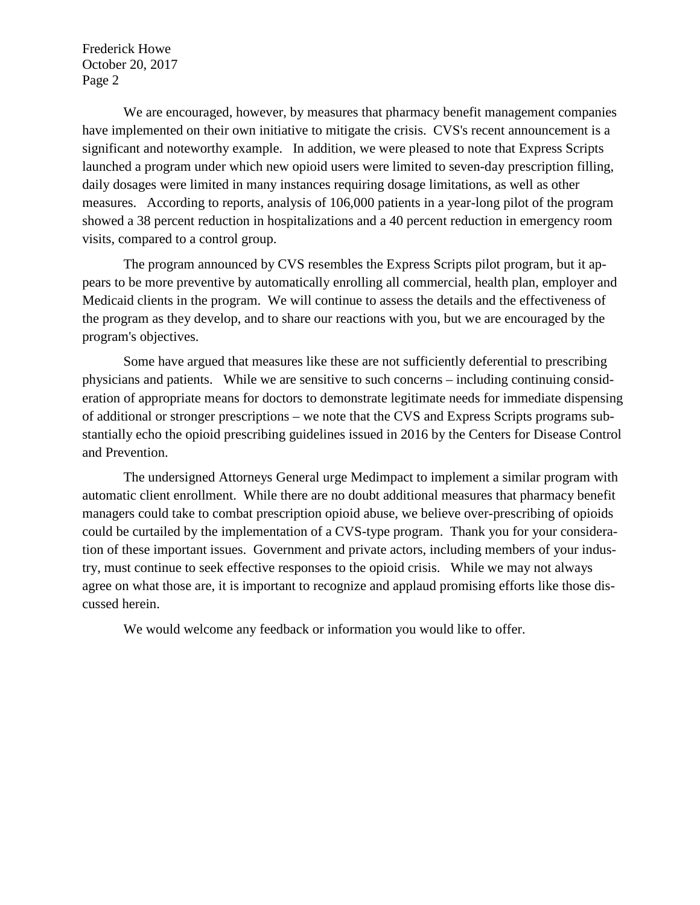Frederick Howe October 20, 2017 Page 2

We are encouraged, however, by measures that pharmacy benefit management companies have implemented on their own initiative to mitigate the crisis. CVS's recent announcement is a significant and noteworthy example. In addition, we were pleased to note that Express Scripts launched a program under which new opioid users were limited to seven-day prescription filling, daily dosages were limited in many instances requiring dosage limitations, as well as other measures. According to reports, analysis of 106,000 patients in a year-long pilot of the program showed a 38 percent reduction in hospitalizations and a 40 percent reduction in emergency room visits, compared to a control group.

The program announced by CVS resembles the Express Scripts pilot program, but it appears to be more preventive by automatically enrolling all commercial, health plan, employer and Medicaid clients in the program. We will continue to assess the details and the effectiveness of the program as they develop, and to share our reactions with you, but we are encouraged by the program's objectives.

Some have argued that measures like these are not sufficiently deferential to prescribing physicians and patients. While we are sensitive to such concerns – including continuing consideration of appropriate means for doctors to demonstrate legitimate needs for immediate dispensing of additional or stronger prescriptions – we note that the CVS and Express Scripts programs substantially echo the opioid prescribing guidelines issued in 2016 by the Centers for Disease Control and Prevention.

The undersigned Attorneys General urge Medimpact to implement a similar program with automatic client enrollment. While there are no doubt additional measures that pharmacy benefit managers could take to combat prescription opioid abuse, we believe over-prescribing of opioids could be curtailed by the implementation of a CVS-type program. Thank you for your consideration of these important issues. Government and private actors, including members of your industry, must continue to seek effective responses to the opioid crisis. While we may not always agree on what those are, it is important to recognize and applaud promising efforts like those discussed herein.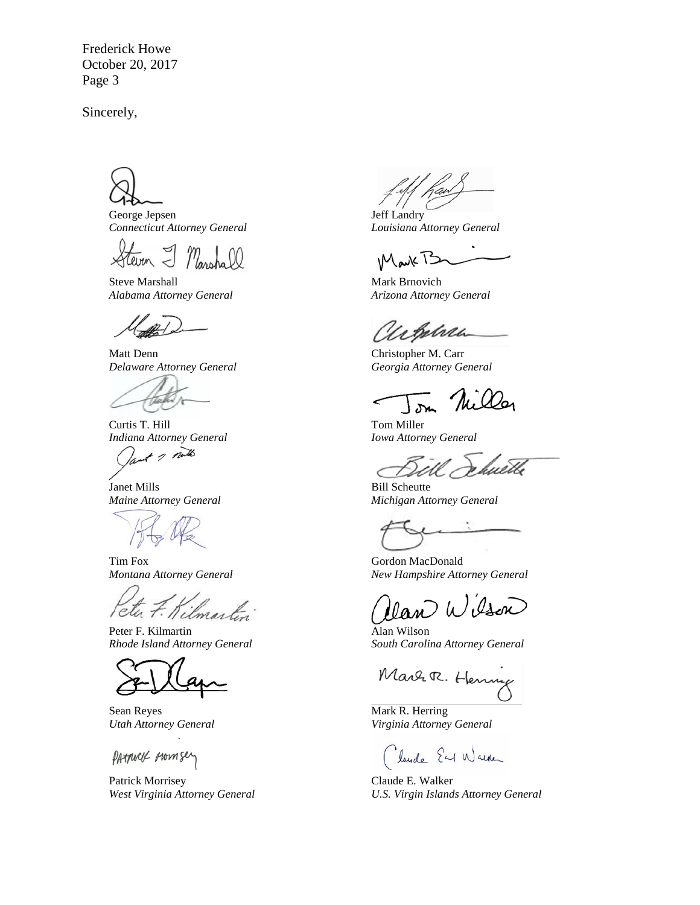Frederick Howe October 20, 2017 Page 3

George Jepsen *Connecticut Attorney General*

Steven J Massho

Steve Marshall *Alabama Attorney General*

Matt Denn *Delaware Attorney General*

Curtis T. Hill *Indiana Attorney General*

of I talk

Janet Mills *Maine Attorney General*

Tim Fox *Montana Attorney General*

Peter F. Kilmartin

Peter F. Kilmartin *Rhode Island Attorney General*

Sean Reyes *Utah Attorney General*

PATTUCK Momsey

Patrick Morrisey *West Virginia Attorney General*

Jeff Landry

*Louisiana Attorney General*

Mark B

Mark Brnovich *Arizona Attorney General*

Whena

Christopher M. Carr *Georgia Attorney General*

Tom Miller *Iowa Attorney General*

hwetb

Bill Scheutte *Michigan Attorney General*

Gordon MacDonald *New Hampshire Attorney General*

lan Wisson

Alan Wilson *South Carolina Attorney General*

Marr R. Hennie

Mark R. Herring *Virginia Attorney General*

Veude Earl Warner

Claude E. Walker *U.S. Virgin Islands Attorney General*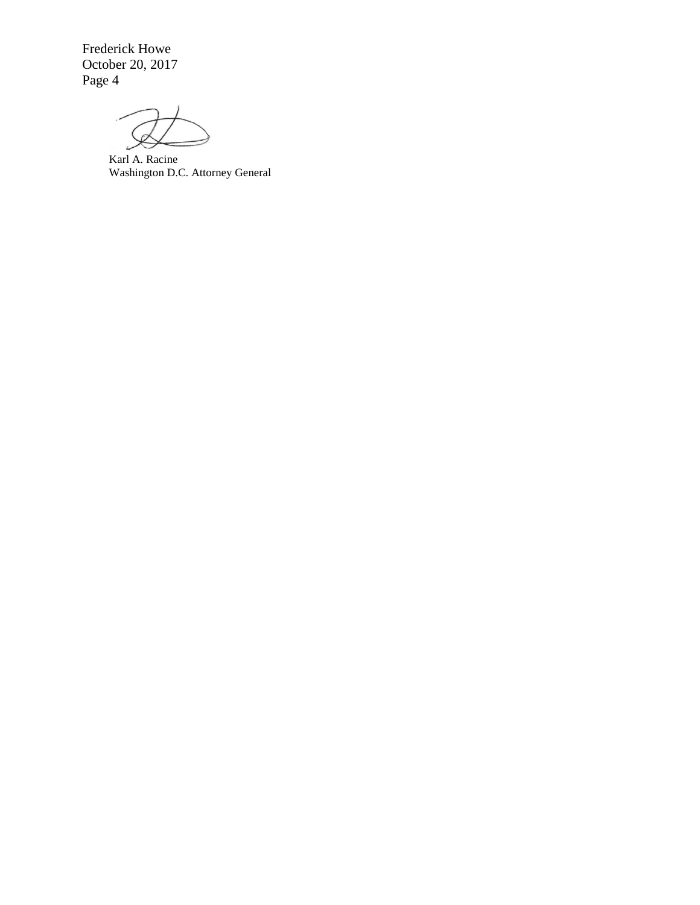Frederick Howe October 20, 2017 Page 4

Karl A. Racine Washington D.C. Attorney General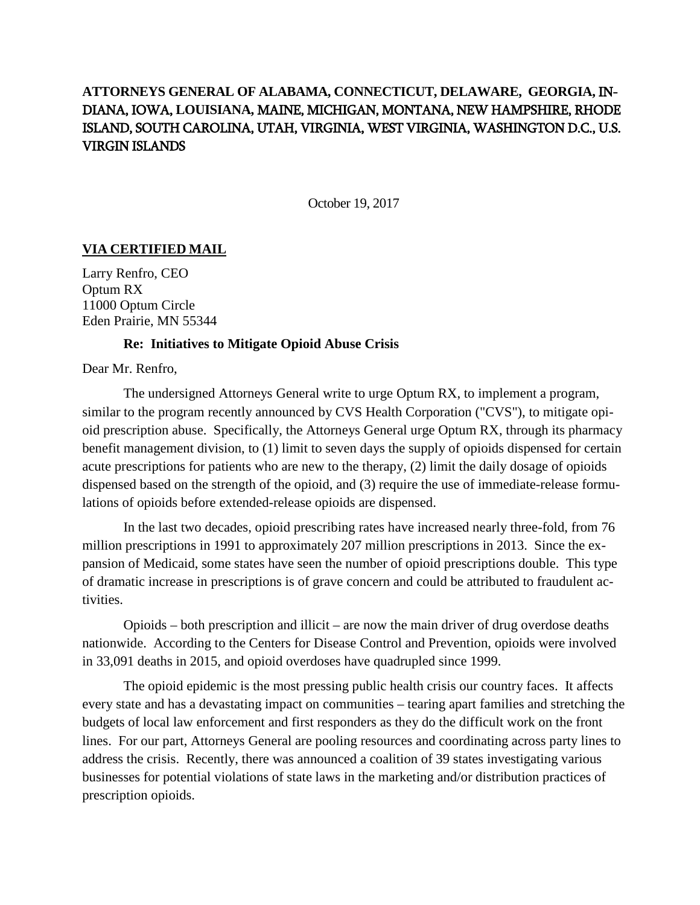# **ATTORNEYS GENERAL OF ALABAMA, CONNECTICUT, DELAWARE, GEORGIA,** IN-DIANA, IOWA, **LOUISIANA,** MAINE, MICHIGAN, MONTANA, NEW HAMPSHIRE, RHODE ISLAND, SOUTH CAROLINA, UTAH, VIRGINIA, WEST VIRGINIA, WASHINGTON D.C., U.S. VIRGIN ISLANDS

October 19, 2017

## **VIA CERTIFIED MAIL**

Larry Renfro, CEO Optum RX 11000 Optum Circle Eden Prairie, MN 55344

#### **Re: Initiatives to Mitigate Opioid Abuse Crisis**

Dear Mr. Renfro,

The undersigned Attorneys General write to urge Optum RX, to implement a program, similar to the program recently announced by CVS Health Corporation ("CVS"), to mitigate opioid prescription abuse. Specifically, the Attorneys General urge Optum RX, through its pharmacy benefit management division, to (1) limit to seven days the supply of opioids dispensed for certain acute prescriptions for patients who are new to the therapy, (2) limit the daily dosage of opioids dispensed based on the strength of the opioid, and (3) require the use of immediate-release formulations of opioids before extended-release opioids are dispensed.

In the last two decades, opioid prescribing rates have increased nearly three-fold, from 76 million prescriptions in 1991 to approximately 207 million prescriptions in 2013. Since the expansion of Medicaid, some states have seen the number of opioid prescriptions double. This type of dramatic increase in prescriptions is of grave concern and could be attributed to fraudulent activities.

Opioids – both prescription and illicit – are now the main driver of drug overdose deaths nationwide. According to the Centers for Disease Control and Prevention, opioids were involved in 33,091 deaths in 2015, and opioid overdoses have quadrupled since 1999.

The opioid epidemic is the most pressing public health crisis our country faces. It affects every state and has a devastating impact on communities – tearing apart families and stretching the budgets of local law enforcement and first responders as they do the difficult work on the front lines. For our part, Attorneys General are pooling resources and coordinating across party lines to address the crisis. Recently, there was announced a coalition of 39 states investigating various businesses for potential violations of state laws in the marketing and/or distribution practices of prescription opioids.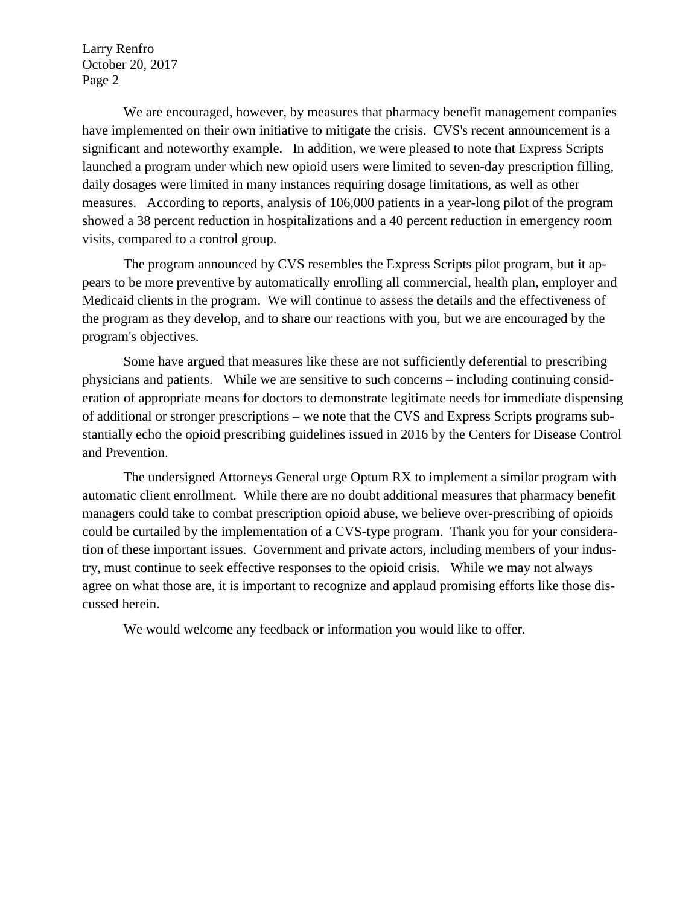Larry Renfro October 20, 2017 Page 2

We are encouraged, however, by measures that pharmacy benefit management companies have implemented on their own initiative to mitigate the crisis. CVS's recent announcement is a significant and noteworthy example. In addition, we were pleased to note that Express Scripts launched a program under which new opioid users were limited to seven-day prescription filling, daily dosages were limited in many instances requiring dosage limitations, as well as other measures. According to reports, analysis of 106,000 patients in a year-long pilot of the program showed a 38 percent reduction in hospitalizations and a 40 percent reduction in emergency room visits, compared to a control group.

The program announced by CVS resembles the Express Scripts pilot program, but it appears to be more preventive by automatically enrolling all commercial, health plan, employer and Medicaid clients in the program. We will continue to assess the details and the effectiveness of the program as they develop, and to share our reactions with you, but we are encouraged by the program's objectives.

Some have argued that measures like these are not sufficiently deferential to prescribing physicians and patients. While we are sensitive to such concerns – including continuing consideration of appropriate means for doctors to demonstrate legitimate needs for immediate dispensing of additional or stronger prescriptions – we note that the CVS and Express Scripts programs substantially echo the opioid prescribing guidelines issued in 2016 by the Centers for Disease Control and Prevention.

The undersigned Attorneys General urge Optum RX to implement a similar program with automatic client enrollment. While there are no doubt additional measures that pharmacy benefit managers could take to combat prescription opioid abuse, we believe over-prescribing of opioids could be curtailed by the implementation of a CVS-type program. Thank you for your consideration of these important issues. Government and private actors, including members of your industry, must continue to seek effective responses to the opioid crisis. While we may not always agree on what those are, it is important to recognize and applaud promising efforts like those discussed herein.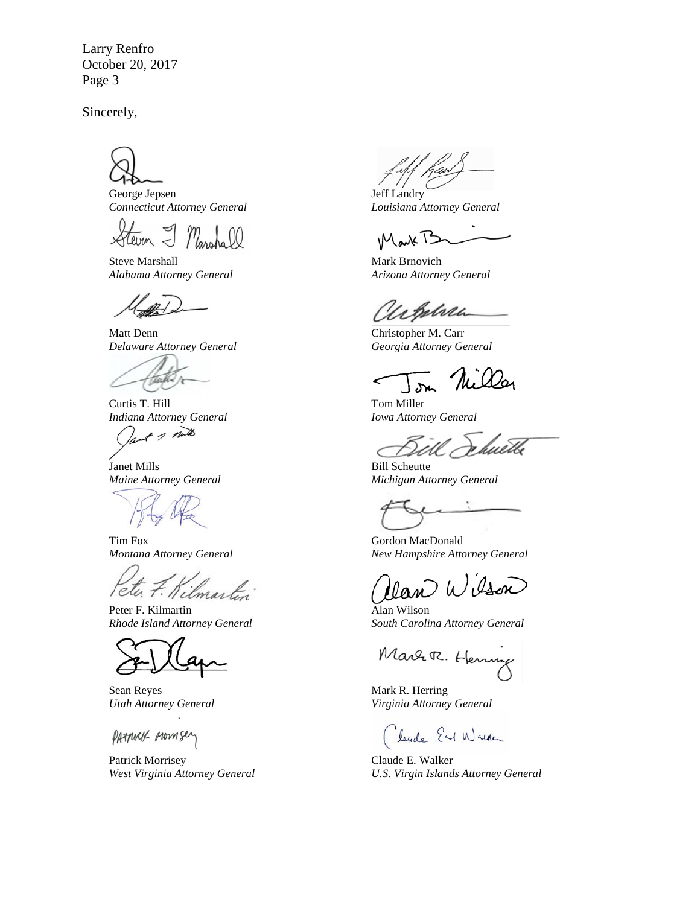Larry Renfro October 20, 2017 Page 3

George Jepsen *Connecticut Attorney General*

Steven I Marshall

Steve Marshall *Alabama Attorney General*

Matt Denn *Delaware Attorney General*

Curtis T. Hill *Indiana Attorney General*

+ 2 mills

Janet Mills *Maine Attorney General*

Tim Fox *Montana Attorney General*

Peter 7. Kilmartin

Peter F. Kilmartin *Rhode Island Attorney General*

Sean Reyes *Utah Attorney General*

PATTUCK MOMSey

Patrick Morrisey *West Virginia Attorney General*

Jeff Landry *Louisiana Attorney General*

Mark B

Mark Brnovich *Arizona Attorney General*

arbelren

Christopher M. Carr *Georgia Attorney General*

Tom Miller *Iowa Attorney General*

huetle

Bill Scheutte *Michigan Attorney General*

Gordon MacDonald *New Hampshire Attorney General*

lan Wisson

Alan Wilson *South Carolina Attorney General*

Marr R. Hennie

Mark R. Herring *Virginia Attorney General*

Claude End Walker

Claude E. Walker *U.S. Virgin Islands Attorney General*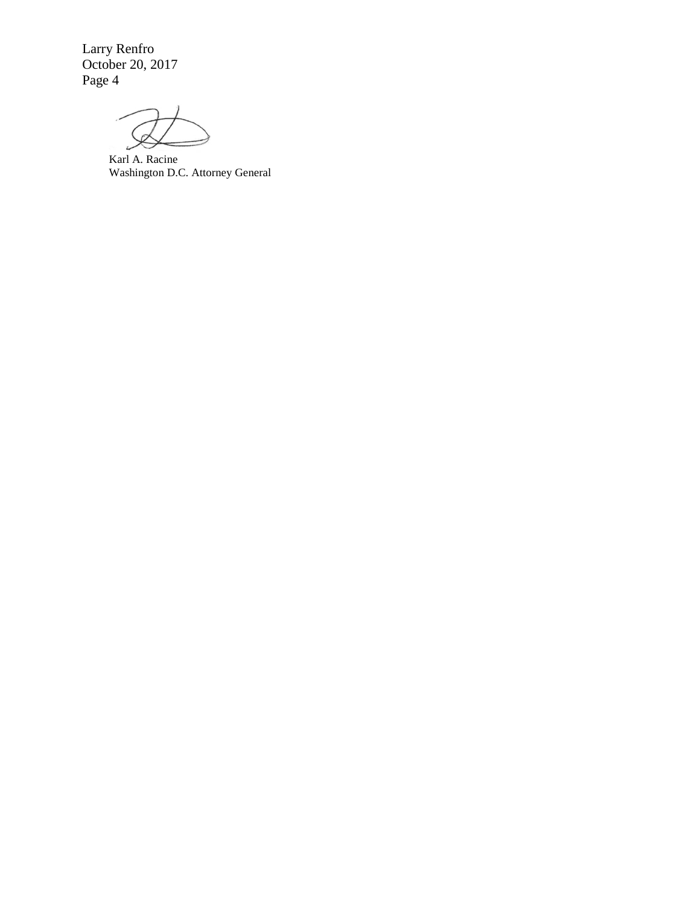Larry Renfro October 20, 2017 Page 4

Karl A. Racine Washington D.C. Attorney General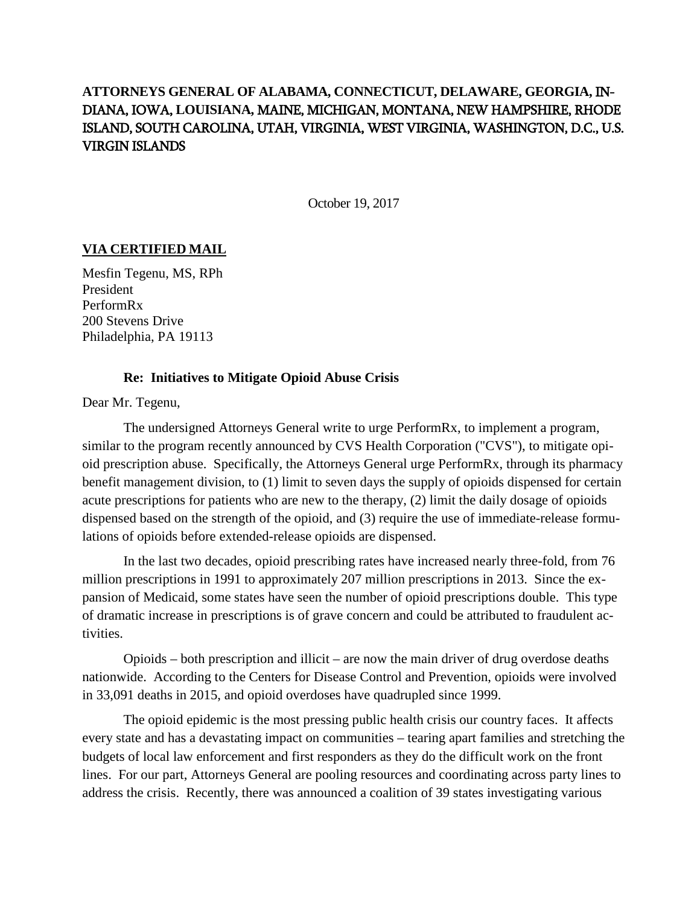# **ATTORNEYS GENERAL OF ALABAMA, CONNECTICUT, DELAWARE, GEORGIA,** IN-DIANA, IOWA, **LOUISIANA,** MAINE, MICHIGAN, MONTANA, NEW HAMPSHIRE, RHODE ISLAND, SOUTH CAROLINA, UTAH, VIRGINIA, WEST VIRGINIA, WASHINGTON, D.C., U.S. VIRGIN ISLANDS

October 19, 2017

## **VIA CERTIFIED MAIL**

Mesfin Tegenu, MS, RPh President PerformRx 200 Stevens Drive Philadelphia, PA 19113

#### **Re: Initiatives to Mitigate Opioid Abuse Crisis**

Dear Mr. Tegenu,

The undersigned Attorneys General write to urge PerformRx, to implement a program, similar to the program recently announced by CVS Health Corporation ("CVS"), to mitigate opioid prescription abuse. Specifically, the Attorneys General urge PerformRx, through its pharmacy benefit management division, to (1) limit to seven days the supply of opioids dispensed for certain acute prescriptions for patients who are new to the therapy, (2) limit the daily dosage of opioids dispensed based on the strength of the opioid, and (3) require the use of immediate-release formulations of opioids before extended-release opioids are dispensed.

In the last two decades, opioid prescribing rates have increased nearly three-fold, from 76 million prescriptions in 1991 to approximately 207 million prescriptions in 2013. Since the expansion of Medicaid, some states have seen the number of opioid prescriptions double. This type of dramatic increase in prescriptions is of grave concern and could be attributed to fraudulent activities.

Opioids – both prescription and illicit – are now the main driver of drug overdose deaths nationwide. According to the Centers for Disease Control and Prevention, opioids were involved in 33,091 deaths in 2015, and opioid overdoses have quadrupled since 1999.

The opioid epidemic is the most pressing public health crisis our country faces. It affects every state and has a devastating impact on communities – tearing apart families and stretching the budgets of local law enforcement and first responders as they do the difficult work on the front lines. For our part, Attorneys General are pooling resources and coordinating across party lines to address the crisis. Recently, there was announced a coalition of 39 states investigating various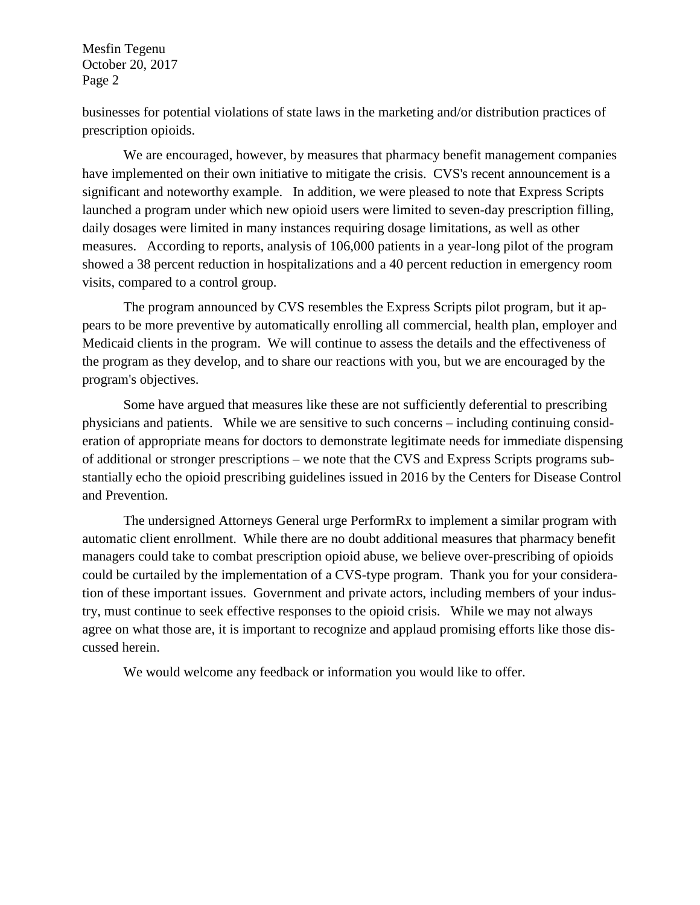Mesfin Tegenu October 20, 2017 Page 2

businesses for potential violations of state laws in the marketing and/or distribution practices of prescription opioids.

We are encouraged, however, by measures that pharmacy benefit management companies have implemented on their own initiative to mitigate the crisis. CVS's recent announcement is a significant and noteworthy example. In addition, we were pleased to note that Express Scripts launched a program under which new opioid users were limited to seven-day prescription filling, daily dosages were limited in many instances requiring dosage limitations, as well as other measures. According to reports, analysis of 106,000 patients in a year-long pilot of the program showed a 38 percent reduction in hospitalizations and a 40 percent reduction in emergency room visits, compared to a control group.

The program announced by CVS resembles the Express Scripts pilot program, but it appears to be more preventive by automatically enrolling all commercial, health plan, employer and Medicaid clients in the program. We will continue to assess the details and the effectiveness of the program as they develop, and to share our reactions with you, but we are encouraged by the program's objectives.

Some have argued that measures like these are not sufficiently deferential to prescribing physicians and patients. While we are sensitive to such concerns – including continuing consideration of appropriate means for doctors to demonstrate legitimate needs for immediate dispensing of additional or stronger prescriptions – we note that the CVS and Express Scripts programs substantially echo the opioid prescribing guidelines issued in 2016 by the Centers for Disease Control and Prevention.

The undersigned Attorneys General urge PerformRx to implement a similar program with automatic client enrollment. While there are no doubt additional measures that pharmacy benefit managers could take to combat prescription opioid abuse, we believe over-prescribing of opioids could be curtailed by the implementation of a CVS-type program. Thank you for your consideration of these important issues. Government and private actors, including members of your industry, must continue to seek effective responses to the opioid crisis. While we may not always agree on what those are, it is important to recognize and applaud promising efforts like those discussed herein.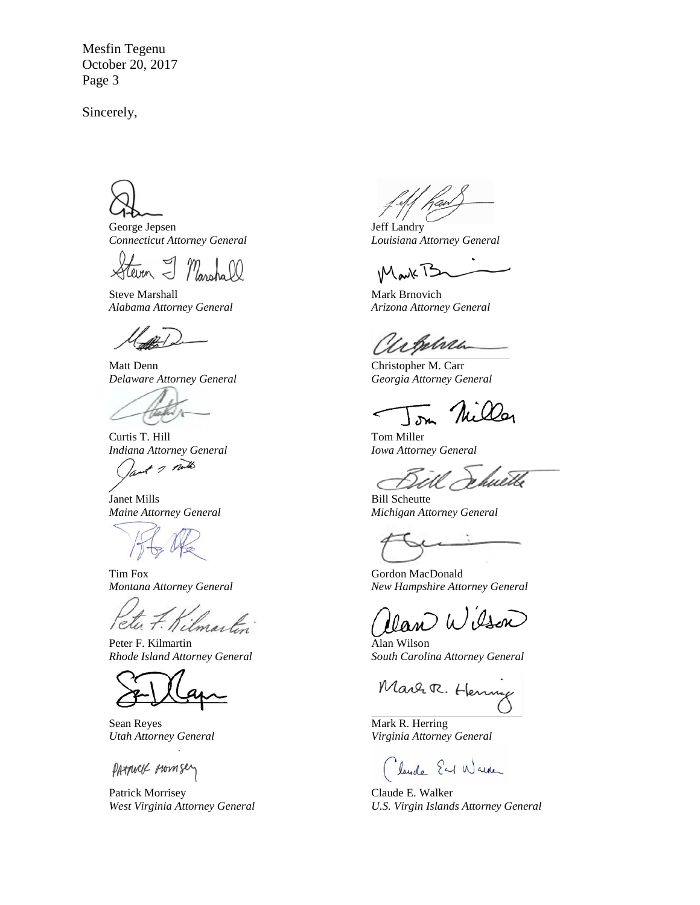Mesfin Tegenu October 20, 2017 Page 3

George Jepsen *Connecticut Attorney General*

Steve Marshall *Alabama Attorney General*

Matt Denn *Delaware Attorney General*

Curtis T. Hill *Indiana Attorney General*

of a north

Janet Mills *Maine Attorney General*

Tim Fox *Montana Attorney General*

Peter 7. Kilmartin

Peter F. Kilmartin *Rhode Island Attorney General*

Sean Reyes *Utah Attorney General*

PATTUCK MOMSey

Patrick Morrisey *West Virginia Attorney General*

Jeff Landry *Louisiana Attorney General*

**IMark** T

Mark Brnovich *Arizona Attorney General*

Urphra

Christopher M. Carr *Georgia Attorney General*

Tom Miller *Iowa Attorney General*

łuetle

Bill Scheutte *Michigan Attorney General*

Gordon MacDonald *New Hampshire Attorney General*

Wilson

Alan Wilson *South Carolina Attorney General*

Mart R. Henny

Mark R. Herring *Virginia Attorney General*

Claude Earl Warker

Claude E. Walker *U.S. Virgin Islands Attorney General*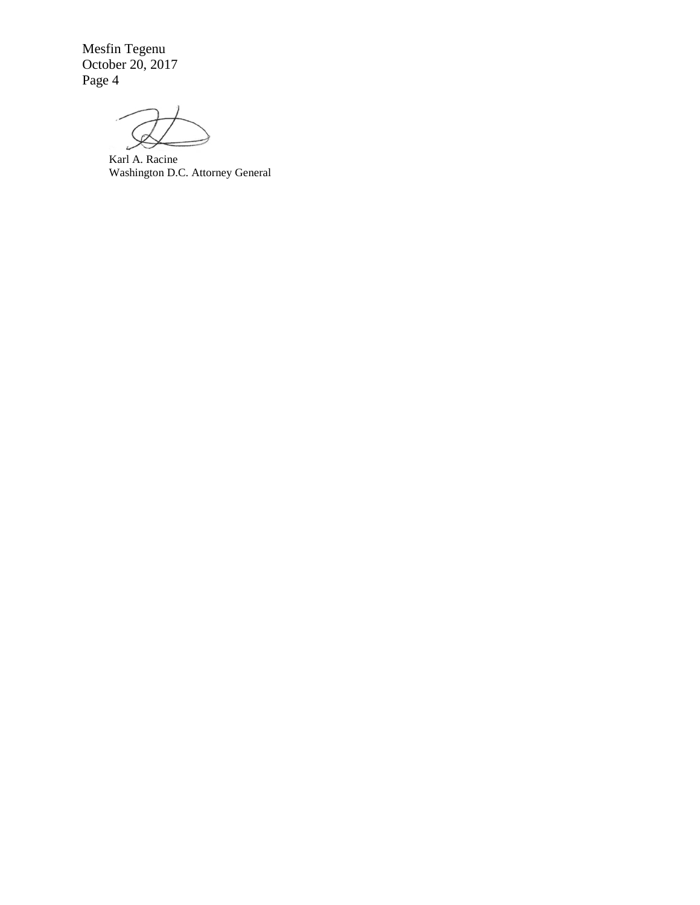Mesfin Tegenu October 20, 2017 Page 4

Karl A. Racine Washington D.C. Attorney General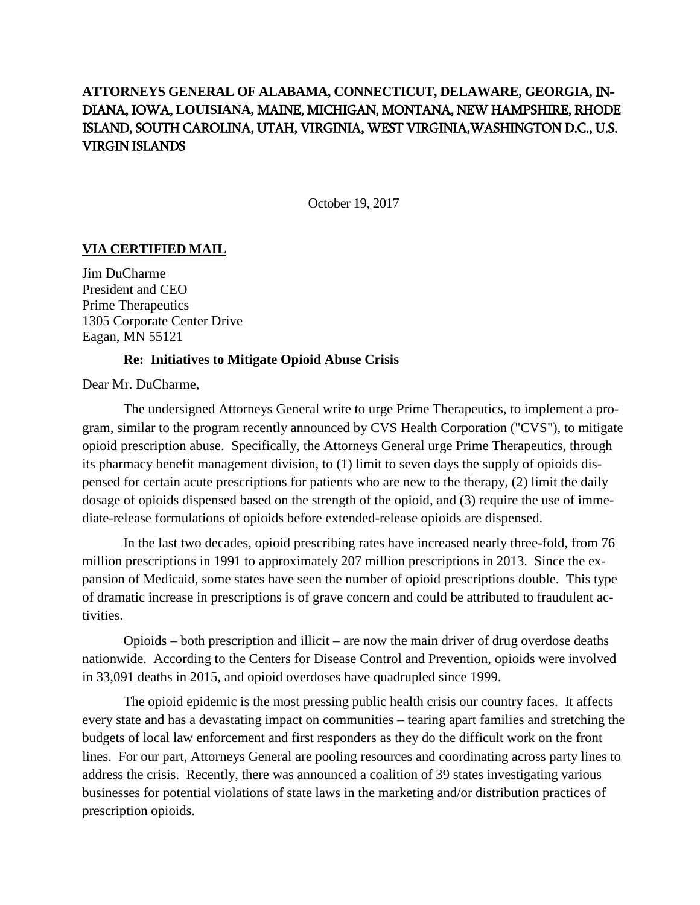# **ATTORNEYS GENERAL OF ALABAMA, CONNECTICUT, DELAWARE, GEORGIA,** IN-DIANA, IOWA, **LOUISIANA,** MAINE, MICHIGAN, MONTANA, NEW HAMPSHIRE, RHODE ISLAND, SOUTH CAROLINA, UTAH, VIRGINIA, WEST VIRGINIA,WASHINGTON D.C., U.S. VIRGIN ISLANDS

October 19, 2017

## **VIA CERTIFIED MAIL**

Jim DuCharme President and CEO Prime Therapeutics 1305 Corporate Center Drive Eagan, MN 55121

### **Re: Initiatives to Mitigate Opioid Abuse Crisis**

Dear Mr. DuCharme,

The undersigned Attorneys General write to urge Prime Therapeutics, to implement a program, similar to the program recently announced by CVS Health Corporation ("CVS"), to mitigate opioid prescription abuse. Specifically, the Attorneys General urge Prime Therapeutics, through its pharmacy benefit management division, to (1) limit to seven days the supply of opioids dispensed for certain acute prescriptions for patients who are new to the therapy, (2) limit the daily dosage of opioids dispensed based on the strength of the opioid, and (3) require the use of immediate-release formulations of opioids before extended-release opioids are dispensed.

In the last two decades, opioid prescribing rates have increased nearly three-fold, from 76 million prescriptions in 1991 to approximately 207 million prescriptions in 2013. Since the expansion of Medicaid, some states have seen the number of opioid prescriptions double. This type of dramatic increase in prescriptions is of grave concern and could be attributed to fraudulent activities.

Opioids – both prescription and illicit – are now the main driver of drug overdose deaths nationwide. According to the Centers for Disease Control and Prevention, opioids were involved in 33,091 deaths in 2015, and opioid overdoses have quadrupled since 1999.

The opioid epidemic is the most pressing public health crisis our country faces. It affects every state and has a devastating impact on communities – tearing apart families and stretching the budgets of local law enforcement and first responders as they do the difficult work on the front lines. For our part, Attorneys General are pooling resources and coordinating across party lines to address the crisis. Recently, there was announced a coalition of 39 states investigating various businesses for potential violations of state laws in the marketing and/or distribution practices of prescription opioids.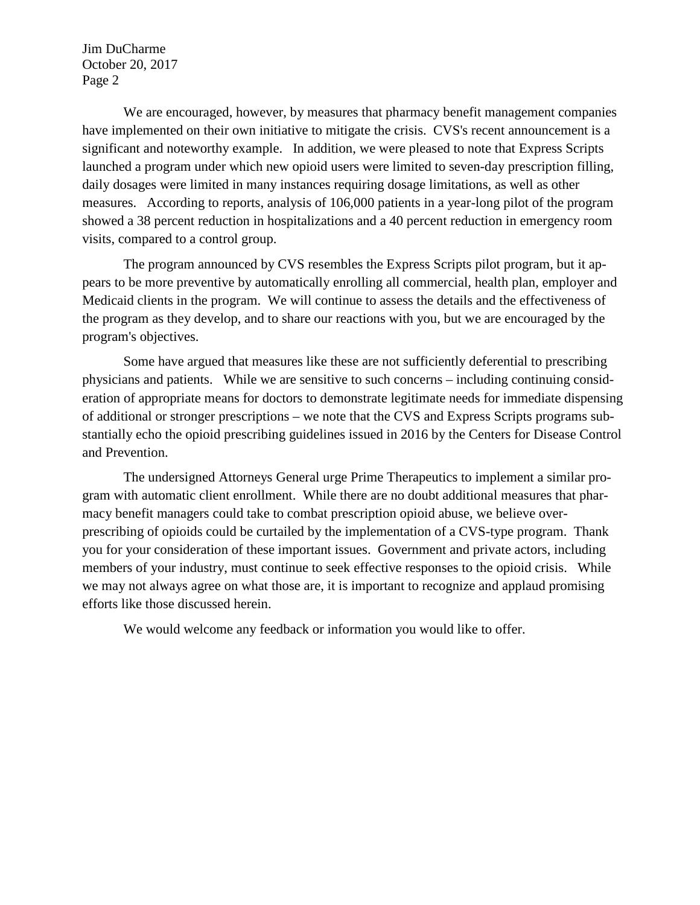Jim DuCharme October 20, 2017 Page 2

We are encouraged, however, by measures that pharmacy benefit management companies have implemented on their own initiative to mitigate the crisis. CVS's recent announcement is a significant and noteworthy example. In addition, we were pleased to note that Express Scripts launched a program under which new opioid users were limited to seven-day prescription filling, daily dosages were limited in many instances requiring dosage limitations, as well as other measures. According to reports, analysis of 106,000 patients in a year-long pilot of the program showed a 38 percent reduction in hospitalizations and a 40 percent reduction in emergency room visits, compared to a control group.

The program announced by CVS resembles the Express Scripts pilot program, but it appears to be more preventive by automatically enrolling all commercial, health plan, employer and Medicaid clients in the program. We will continue to assess the details and the effectiveness of the program as they develop, and to share our reactions with you, but we are encouraged by the program's objectives.

Some have argued that measures like these are not sufficiently deferential to prescribing physicians and patients. While we are sensitive to such concerns – including continuing consideration of appropriate means for doctors to demonstrate legitimate needs for immediate dispensing of additional or stronger prescriptions – we note that the CVS and Express Scripts programs substantially echo the opioid prescribing guidelines issued in 2016 by the Centers for Disease Control and Prevention.

The undersigned Attorneys General urge Prime Therapeutics to implement a similar program with automatic client enrollment. While there are no doubt additional measures that pharmacy benefit managers could take to combat prescription opioid abuse, we believe overprescribing of opioids could be curtailed by the implementation of a CVS-type program. Thank you for your consideration of these important issues. Government and private actors, including members of your industry, must continue to seek effective responses to the opioid crisis. While we may not always agree on what those are, it is important to recognize and applaud promising efforts like those discussed herein.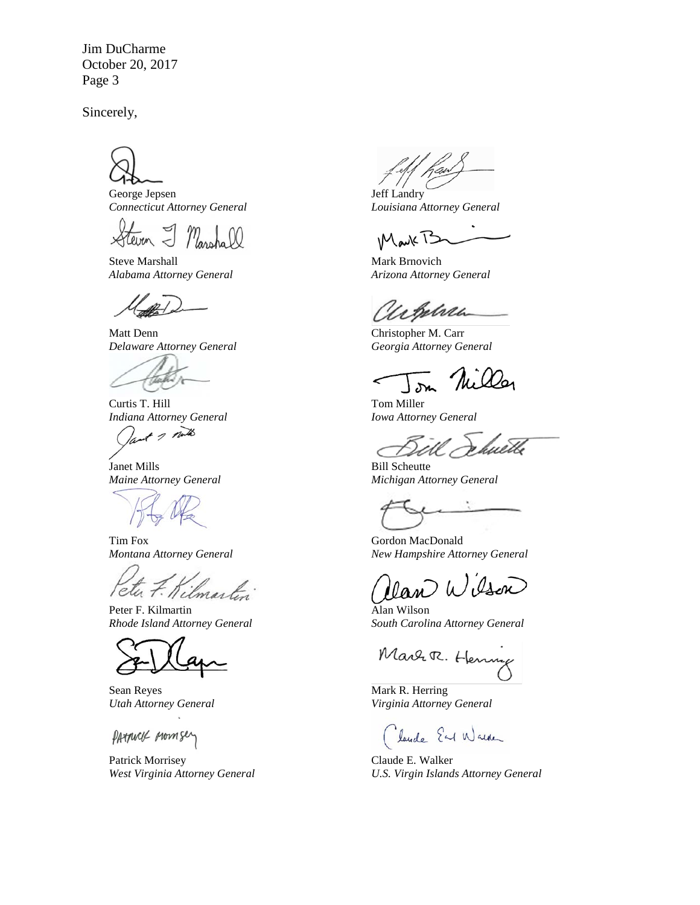Jim DuCharme October 20, 2017 Page 3

George Jepsen *Connecticut Attorney General*

Steven I Marshall

Steve Marshall *Alabama Attorney General*

Matt Denn *Delaware Attorney General*

Curtis T. Hill *Indiana Attorney General*

+ 2 mills

Janet Mills *Maine Attorney General*

Tim Fox *Montana Attorney General*

Peter 7. Kilmartin

Peter F. Kilmartin *Rhode Island Attorney General*

Sean Reyes *Utah Attorney General*

PATTUCK MOMSey

Patrick Morrisey *West Virginia Attorney General*

Jeff Landry *Louisiana Attorney General*

Mark B

Mark Brnovich *Arizona Attorney General*

arbelren

Christopher M. Carr *Georgia Attorney General*

Tom Miller *Iowa Attorney General*

huette

Bill Scheutte *Michigan Attorney General*

Gordon MacDonald *New Hampshire Attorney General*

lan Wisson

Alan Wilson *South Carolina Attorney General*

Marr R. Hennie

Mark R. Herring *Virginia Attorney General*

Claude End Walker

Claude E. Walker *U.S. Virgin Islands Attorney General*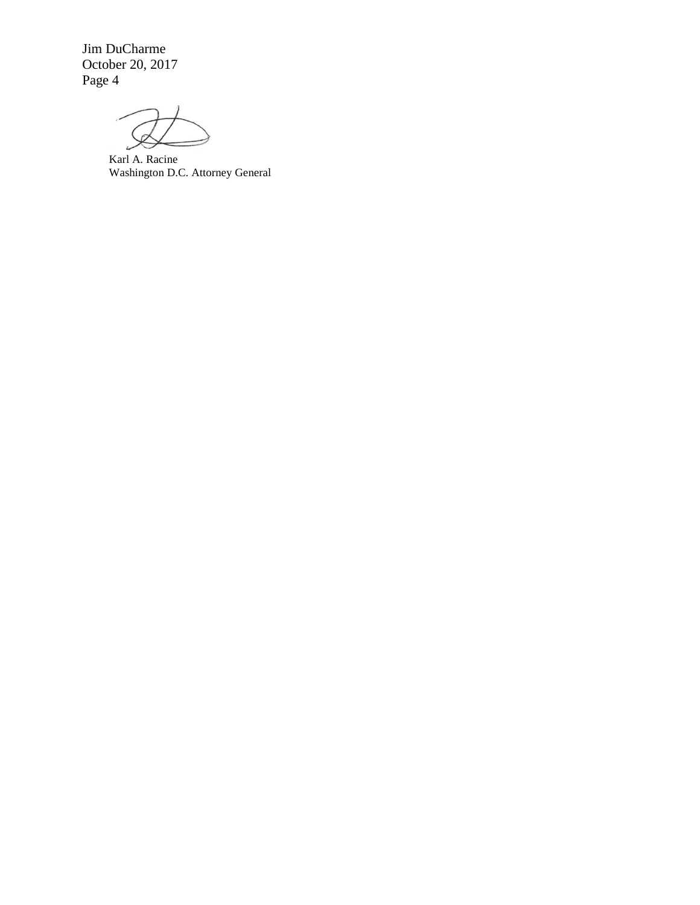Jim DuCharme October 20, 2017 Page 4

Karl A. Racine Washington D.C. Attorney General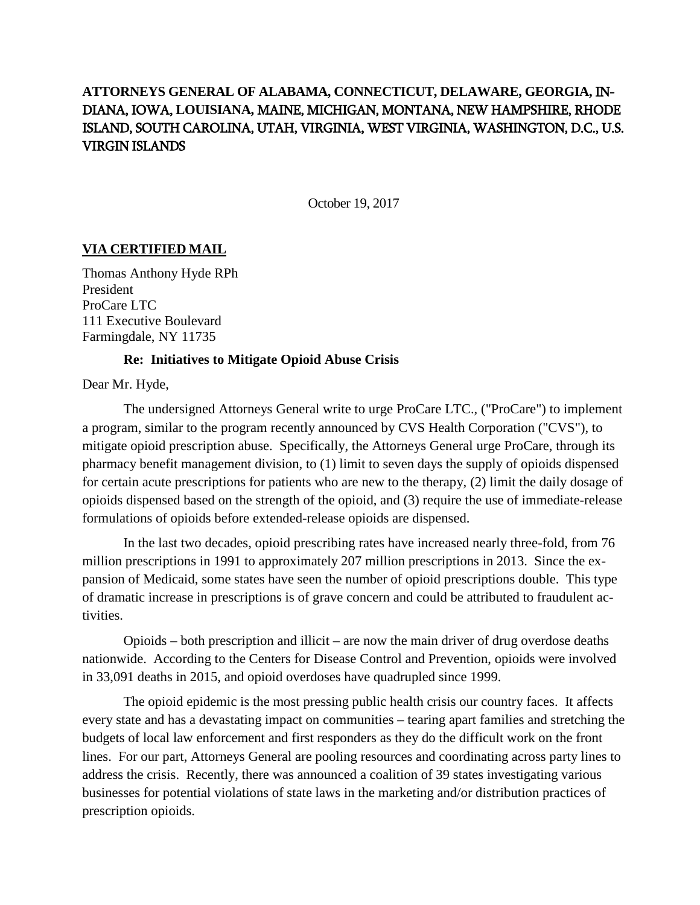# **ATTORNEYS GENERAL OF ALABAMA, CONNECTICUT, DELAWARE, GEORGIA,** IN-DIANA, IOWA, **LOUISIANA,** MAINE, MICHIGAN, MONTANA, NEW HAMPSHIRE, RHODE ISLAND, SOUTH CAROLINA, UTAH, VIRGINIA, WEST VIRGINIA, WASHINGTON, D.C., U.S. VIRGIN ISLANDS

October 19, 2017

## **VIA CERTIFIED MAIL**

Thomas Anthony Hyde RPh President ProCare LTC 111 Executive Boulevard Farmingdale, NY 11735

#### **Re: Initiatives to Mitigate Opioid Abuse Crisis**

Dear Mr. Hyde,

The undersigned Attorneys General write to urge ProCare LTC., ("ProCare") to implement a program, similar to the program recently announced by CVS Health Corporation ("CVS"), to mitigate opioid prescription abuse. Specifically, the Attorneys General urge ProCare, through its pharmacy benefit management division, to (1) limit to seven days the supply of opioids dispensed for certain acute prescriptions for patients who are new to the therapy, (2) limit the daily dosage of opioids dispensed based on the strength of the opioid, and (3) require the use of immediate-release formulations of opioids before extended-release opioids are dispensed.

In the last two decades, opioid prescribing rates have increased nearly three-fold, from 76 million prescriptions in 1991 to approximately 207 million prescriptions in 2013. Since the expansion of Medicaid, some states have seen the number of opioid prescriptions double. This type of dramatic increase in prescriptions is of grave concern and could be attributed to fraudulent activities.

Opioids – both prescription and illicit – are now the main driver of drug overdose deaths nationwide. According to the Centers for Disease Control and Prevention, opioids were involved in 33,091 deaths in 2015, and opioid overdoses have quadrupled since 1999.

The opioid epidemic is the most pressing public health crisis our country faces. It affects every state and has a devastating impact on communities – tearing apart families and stretching the budgets of local law enforcement and first responders as they do the difficult work on the front lines. For our part, Attorneys General are pooling resources and coordinating across party lines to address the crisis. Recently, there was announced a coalition of 39 states investigating various businesses for potential violations of state laws in the marketing and/or distribution practices of prescription opioids.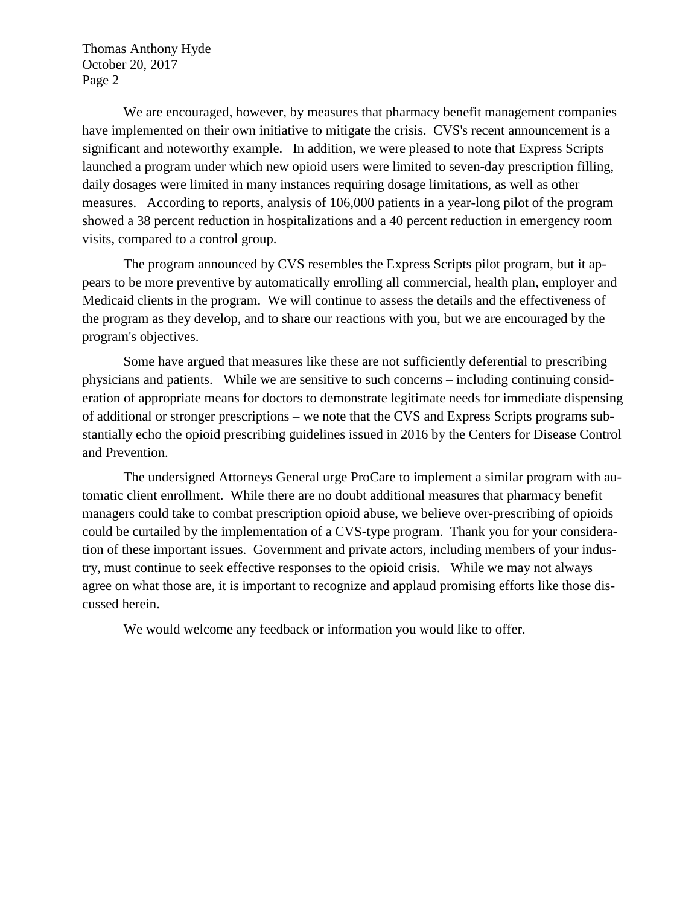Thomas Anthony Hyde October 20, 2017 Page 2

We are encouraged, however, by measures that pharmacy benefit management companies have implemented on their own initiative to mitigate the crisis. CVS's recent announcement is a significant and noteworthy example. In addition, we were pleased to note that Express Scripts launched a program under which new opioid users were limited to seven-day prescription filling, daily dosages were limited in many instances requiring dosage limitations, as well as other measures. According to reports, analysis of 106,000 patients in a year-long pilot of the program showed a 38 percent reduction in hospitalizations and a 40 percent reduction in emergency room visits, compared to a control group.

The program announced by CVS resembles the Express Scripts pilot program, but it appears to be more preventive by automatically enrolling all commercial, health plan, employer and Medicaid clients in the program. We will continue to assess the details and the effectiveness of the program as they develop, and to share our reactions with you, but we are encouraged by the program's objectives.

Some have argued that measures like these are not sufficiently deferential to prescribing physicians and patients. While we are sensitive to such concerns – including continuing consideration of appropriate means for doctors to demonstrate legitimate needs for immediate dispensing of additional or stronger prescriptions – we note that the CVS and Express Scripts programs substantially echo the opioid prescribing guidelines issued in 2016 by the Centers for Disease Control and Prevention.

The undersigned Attorneys General urge ProCare to implement a similar program with automatic client enrollment. While there are no doubt additional measures that pharmacy benefit managers could take to combat prescription opioid abuse, we believe over-prescribing of opioids could be curtailed by the implementation of a CVS-type program. Thank you for your consideration of these important issues. Government and private actors, including members of your industry, must continue to seek effective responses to the opioid crisis. While we may not always agree on what those are, it is important to recognize and applaud promising efforts like those discussed herein.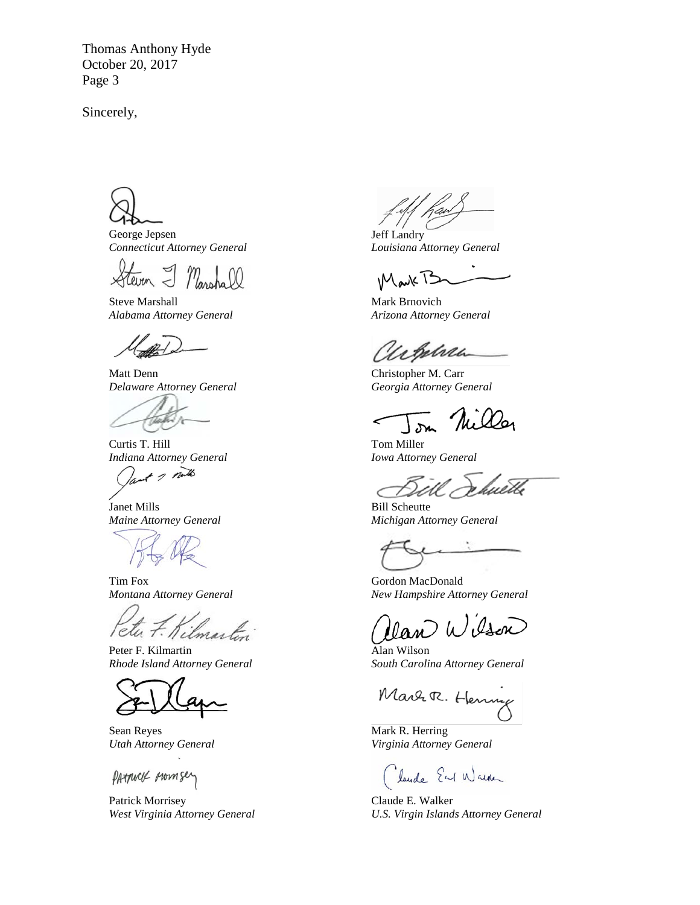Thomas Anthony Hyde October 20, 2017 Page 3

George Jepsen *Connecticut Attorney General*

Steve Marshall *Alabama Attorney General*

Matt Denn *Delaware Attorney General*

Curtis T. Hill *Indiana Attorney General*

Part of out

Janet Mills *Maine Attorney General*

Tim Fox *Montana Attorney General*

Kilmartin /clu 7

Peter F. Kilmartin *Rhode Island Attorney General*

Sean Reyes *Utah Attorney General*

PATTUCK MOMSey

Patrick Morrisey *West Virginia Attorney General*

Jeff Landry *Louisiana Attorney General*

MarkT

Mark Brnovich *Arizona Attorney General*

Urphrea

Christopher M. Carr *Georgia Attorney General*

 $\sum_{k}$ 

Tom Miller *Iowa Attorney General*

fuette

Bill Scheutte *Michigan Attorney General*

Gordon MacDonald *New Hampshire Attorney General*

 $_{am}$  Wilson

Alan Wilson *South Carolina Attorney General*

Mart R. Hennig

Mark R. Herring *Virginia Attorney General*

Claude Earl Warker

Claude E. Walker *U.S. Virgin Islands Attorney General*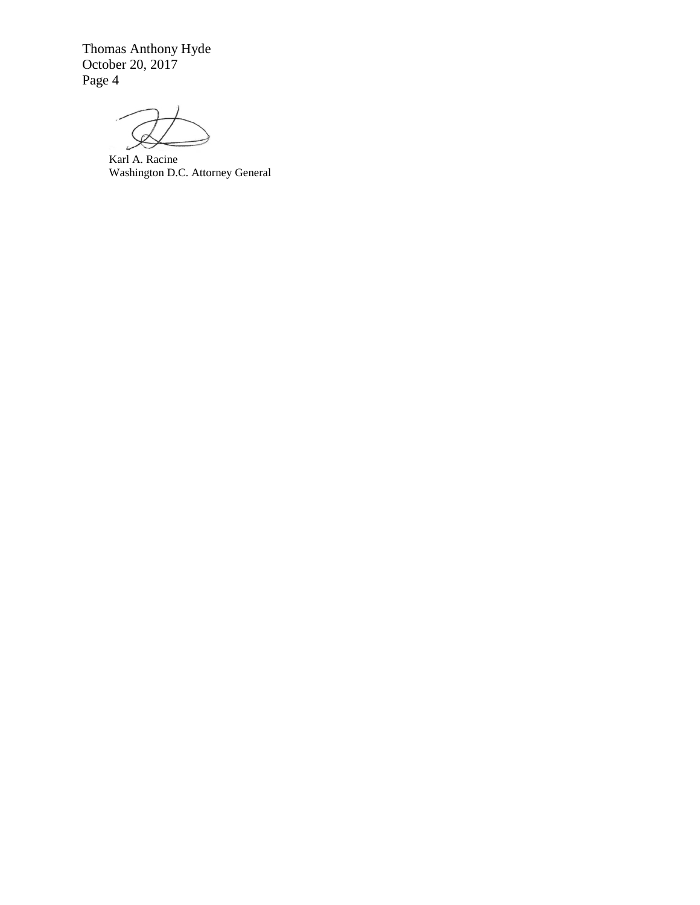Thomas Anthony Hyde October 20, 2017 Page 4

Karl A. Racine Washington D.C. Attorney General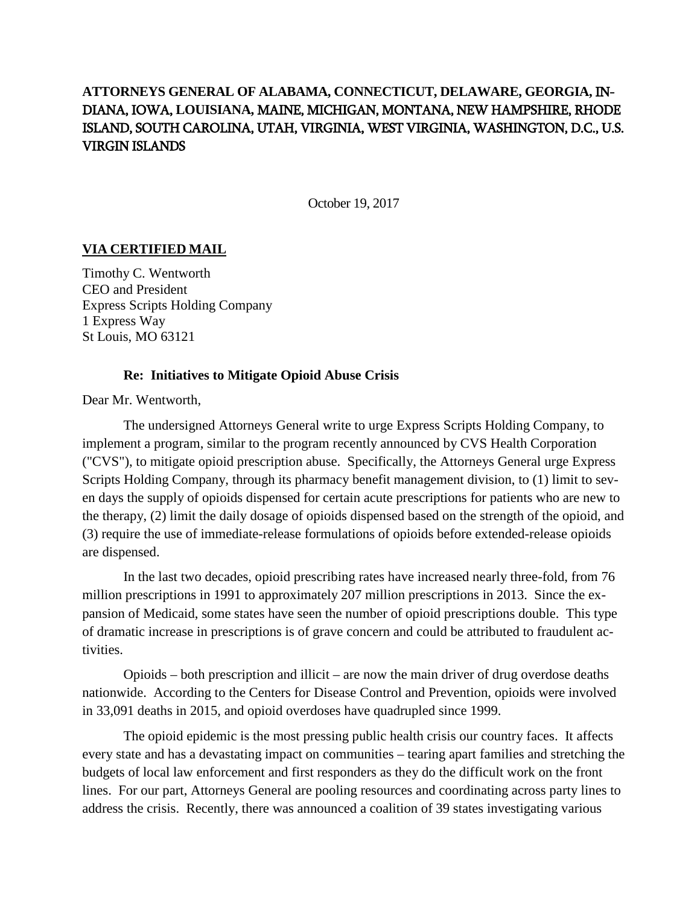# **ATTORNEYS GENERAL OF ALABAMA, CONNECTICUT, DELAWARE, GEORGIA,** IN-DIANA, IOWA, **LOUISIANA,** MAINE, MICHIGAN, MONTANA, NEW HAMPSHIRE, RHODE ISLAND, SOUTH CAROLINA, UTAH, VIRGINIA, WEST VIRGINIA, WASHINGTON, D.C., U.S. VIRGIN ISLANDS

October 19, 2017

## **VIA CERTIFIED MAIL**

Timothy C. Wentworth CEO and President Express Scripts Holding Company 1 Express Way St Louis, MO 63121

#### **Re: Initiatives to Mitigate Opioid Abuse Crisis**

Dear Mr. Wentworth,

The undersigned Attorneys General write to urge Express Scripts Holding Company, to implement a program, similar to the program recently announced by CVS Health Corporation ("CVS"), to mitigate opioid prescription abuse. Specifically, the Attorneys General urge Express Scripts Holding Company, through its pharmacy benefit management division, to (1) limit to seven days the supply of opioids dispensed for certain acute prescriptions for patients who are new to the therapy, (2) limit the daily dosage of opioids dispensed based on the strength of the opioid, and (3) require the use of immediate-release formulations of opioids before extended-release opioids are dispensed.

In the last two decades, opioid prescribing rates have increased nearly three-fold, from 76 million prescriptions in 1991 to approximately 207 million prescriptions in 2013. Since the expansion of Medicaid, some states have seen the number of opioid prescriptions double. This type of dramatic increase in prescriptions is of grave concern and could be attributed to fraudulent activities.

Opioids – both prescription and illicit – are now the main driver of drug overdose deaths nationwide. According to the Centers for Disease Control and Prevention, opioids were involved in 33,091 deaths in 2015, and opioid overdoses have quadrupled since 1999.

The opioid epidemic is the most pressing public health crisis our country faces. It affects every state and has a devastating impact on communities – tearing apart families and stretching the budgets of local law enforcement and first responders as they do the difficult work on the front lines. For our part, Attorneys General are pooling resources and coordinating across party lines to address the crisis. Recently, there was announced a coalition of 39 states investigating various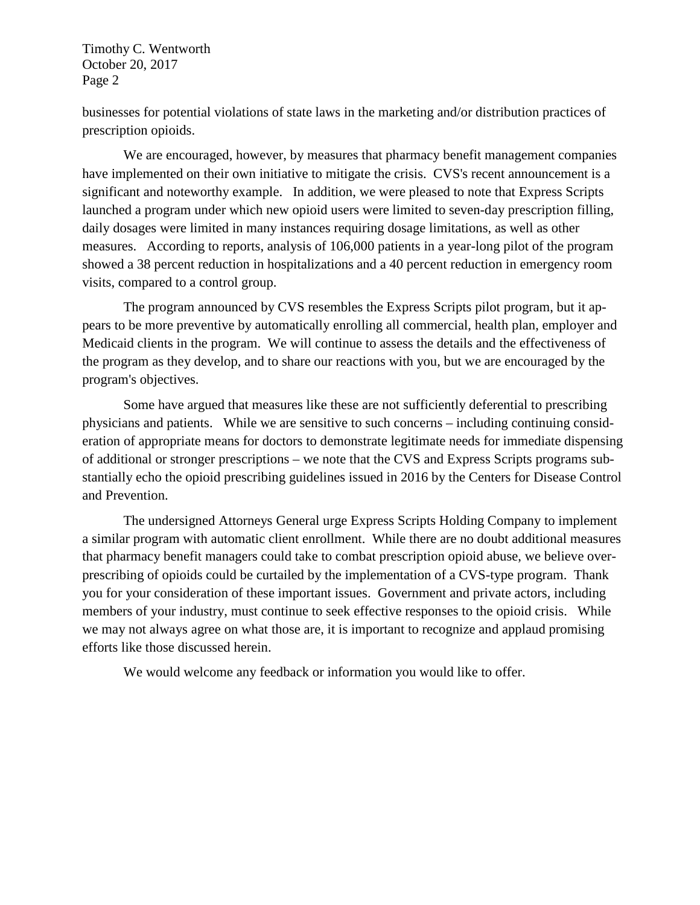Timothy C. Wentworth October 20, 2017 Page 2

businesses for potential violations of state laws in the marketing and/or distribution practices of prescription opioids.

We are encouraged, however, by measures that pharmacy benefit management companies have implemented on their own initiative to mitigate the crisis. CVS's recent announcement is a significant and noteworthy example. In addition, we were pleased to note that Express Scripts launched a program under which new opioid users were limited to seven-day prescription filling, daily dosages were limited in many instances requiring dosage limitations, as well as other measures. According to reports, analysis of 106,000 patients in a year-long pilot of the program showed a 38 percent reduction in hospitalizations and a 40 percent reduction in emergency room visits, compared to a control group.

The program announced by CVS resembles the Express Scripts pilot program, but it appears to be more preventive by automatically enrolling all commercial, health plan, employer and Medicaid clients in the program. We will continue to assess the details and the effectiveness of the program as they develop, and to share our reactions with you, but we are encouraged by the program's objectives.

Some have argued that measures like these are not sufficiently deferential to prescribing physicians and patients. While we are sensitive to such concerns – including continuing consideration of appropriate means for doctors to demonstrate legitimate needs for immediate dispensing of additional or stronger prescriptions – we note that the CVS and Express Scripts programs substantially echo the opioid prescribing guidelines issued in 2016 by the Centers for Disease Control and Prevention.

The undersigned Attorneys General urge Express Scripts Holding Company to implement a similar program with automatic client enrollment. While there are no doubt additional measures that pharmacy benefit managers could take to combat prescription opioid abuse, we believe overprescribing of opioids could be curtailed by the implementation of a CVS-type program. Thank you for your consideration of these important issues. Government and private actors, including members of your industry, must continue to seek effective responses to the opioid crisis. While we may not always agree on what those are, it is important to recognize and applaud promising efforts like those discussed herein.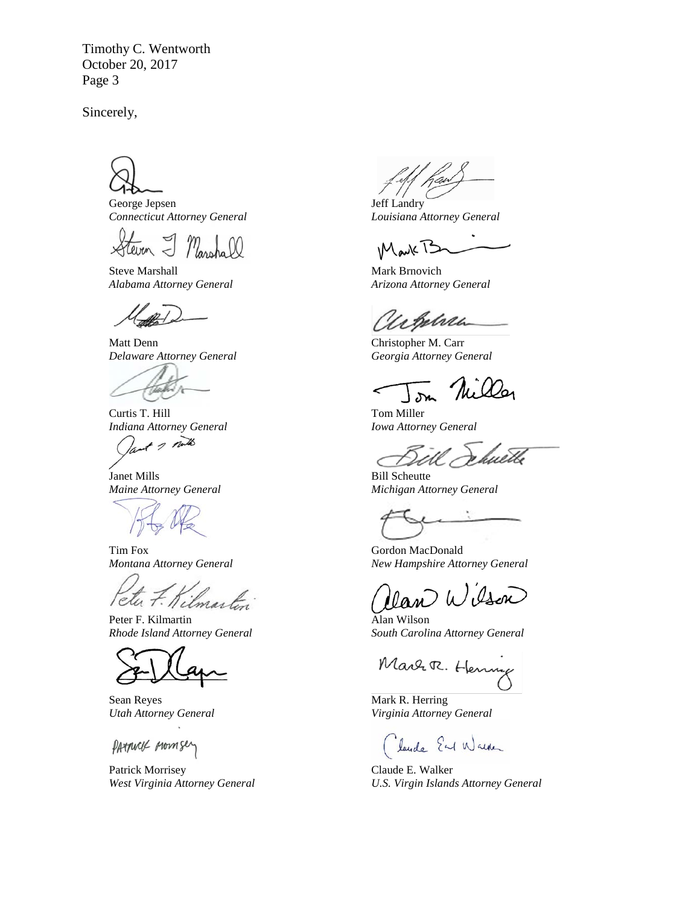Timothy C. Wentworth October 20, 2017 Page 3

George Jepsen *Connecticut Attorney General*

Steve Marshall *Alabama Attorney General*

Matt Denn *Delaware Attorney General*

Curtis T. Hill

*Indiana Attorney General*<br>*Class 1 10* 

Janet Mills *Maine Attorney General*

Tim Fox *Montana Attorney General*

Tetu 7. Kilmartin

Peter F. Kilmartin *Rhode Island Attorney General*

Sean Reyes *Utah Attorney General*

PATTUCK MOMSer

Patrick Morrisey *West Virginia Attorney General*

Jeff Landry *Louisiana Attorney General*

Mark P

Mark Brnovich *Arizona Attorney General*

Urphra

Christopher M. Carr *Georgia Attorney General*

Tom Miller *Iowa Attorney General*

wette

Bill Scheutte *Michigan Attorney General*

Gordon MacDonald *New Hampshire Attorney General*

Wilson

Alan Wilson *South Carolina Attorney General*

Marr R. Henn

Mark R. Herring *Virginia Attorney General*

Claude Earl Walker

Claude E. Walker *U.S. Virgin Islands Attorney General*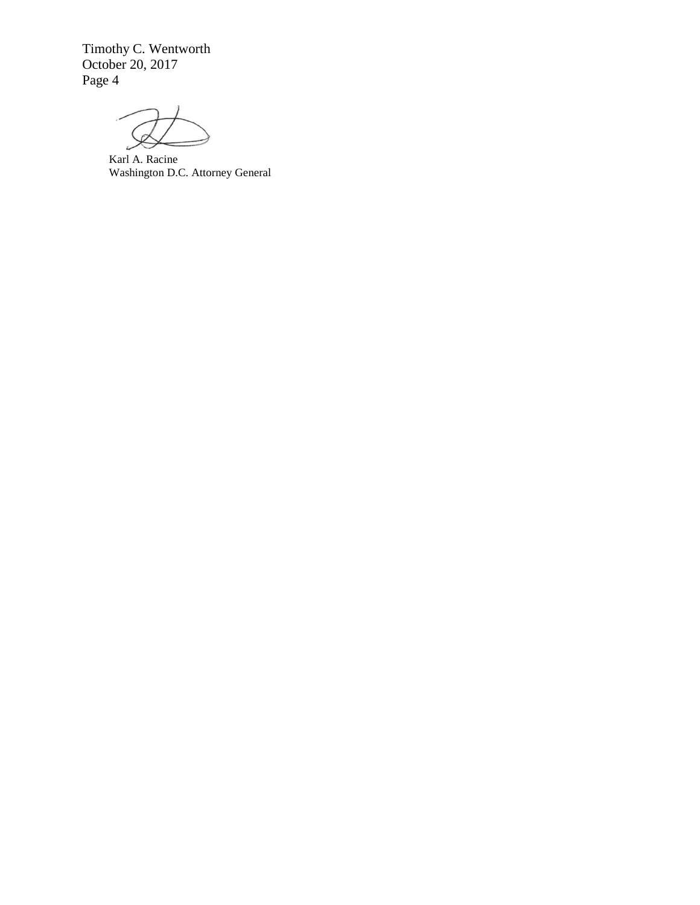Timothy C. Wentworth October 20, 2017 Page 4

Karl A. Racine Washington D.C. Attorney General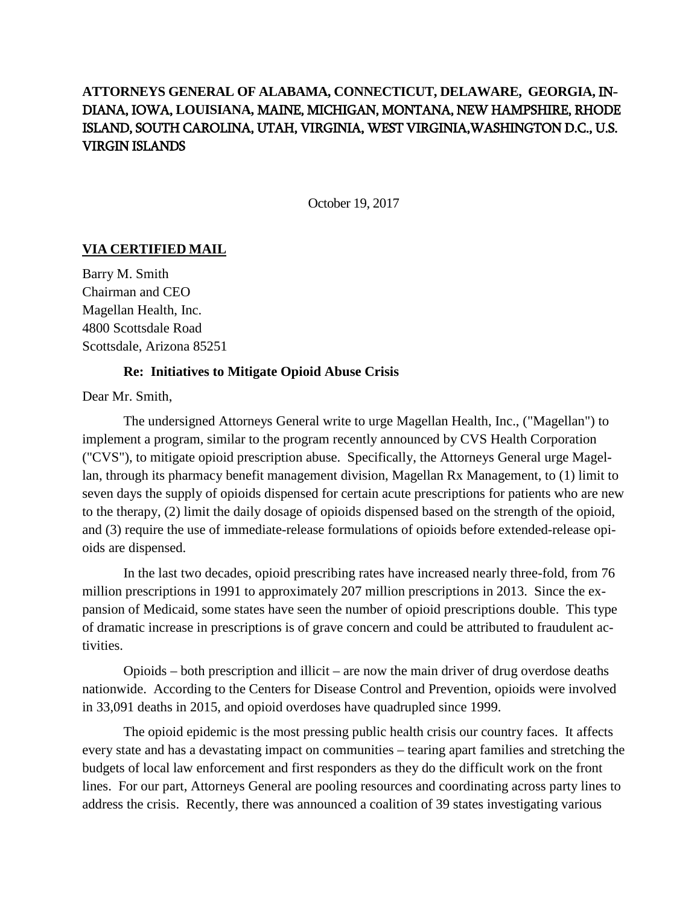# **ATTORNEYS GENERAL OF ALABAMA, CONNECTICUT, DELAWARE, GEORGIA,** IN-DIANA, IOWA, **LOUISIANA,** MAINE, MICHIGAN, MONTANA, NEW HAMPSHIRE, RHODE ISLAND, SOUTH CAROLINA, UTAH, VIRGINIA, WEST VIRGINIA,WASHINGTON D.C., U.S. VIRGIN ISLANDS

October 19, 2017

## **VIA CERTIFIED MAIL**

Barry M. Smith Chairman and CEO Magellan Health, Inc. 4800 Scottsdale Road Scottsdale, Arizona 85251

### **Re: Initiatives to Mitigate Opioid Abuse Crisis**

Dear Mr. Smith,

The undersigned Attorneys General write to urge Magellan Health, Inc., ("Magellan") to implement a program, similar to the program recently announced by CVS Health Corporation ("CVS"), to mitigate opioid prescription abuse. Specifically, the Attorneys General urge Magellan, through its pharmacy benefit management division, Magellan Rx Management, to (1) limit to seven days the supply of opioids dispensed for certain acute prescriptions for patients who are new to the therapy, (2) limit the daily dosage of opioids dispensed based on the strength of the opioid, and (3) require the use of immediate-release formulations of opioids before extended-release opioids are dispensed.

In the last two decades, opioid prescribing rates have increased nearly three-fold, from 76 million prescriptions in 1991 to approximately 207 million prescriptions in 2013. Since the expansion of Medicaid, some states have seen the number of opioid prescriptions double. This type of dramatic increase in prescriptions is of grave concern and could be attributed to fraudulent activities.

Opioids – both prescription and illicit – are now the main driver of drug overdose deaths nationwide. According to the Centers for Disease Control and Prevention, opioids were involved in 33,091 deaths in 2015, and opioid overdoses have quadrupled since 1999.

The opioid epidemic is the most pressing public health crisis our country faces. It affects every state and has a devastating impact on communities – tearing apart families and stretching the budgets of local law enforcement and first responders as they do the difficult work on the front lines. For our part, Attorneys General are pooling resources and coordinating across party lines to address the crisis. Recently, there was announced a coalition of 39 states investigating various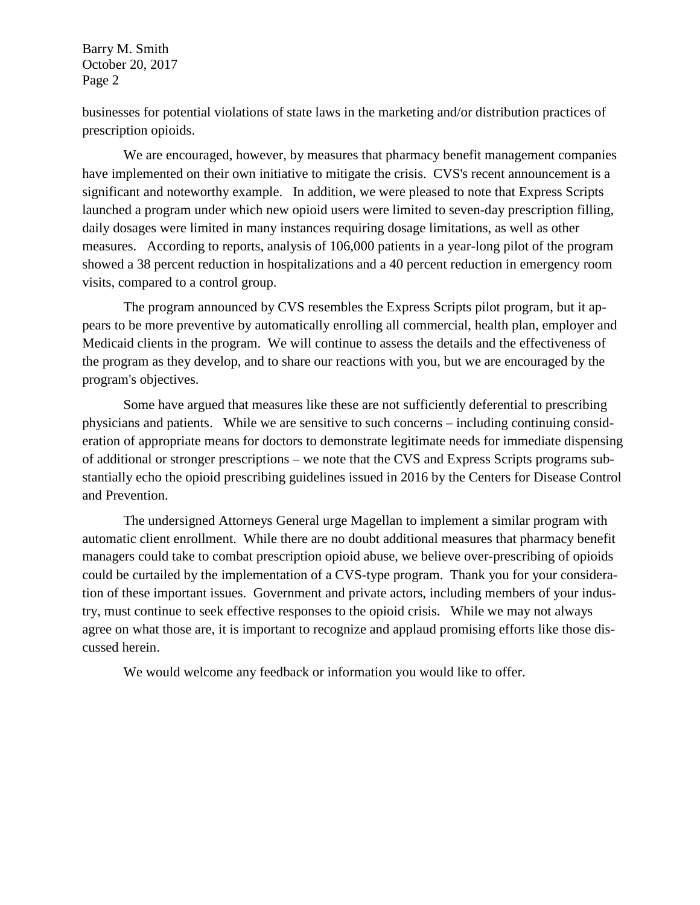Barry M. Smith October 20, 2017 Page 2

businesses for potential violations of state laws in the marketing and/or distribution practices of prescription opioids.

We are encouraged, however, by measures that pharmacy benefit management companies have implemented on their own initiative to mitigate the crisis. CVS's recent announcement is a significant and noteworthy example. In addition, we were pleased to note that Express Scripts launched a program under which new opioid users were limited to seven-day prescription filling, daily dosages were limited in many instances requiring dosage limitations, as well as other measures. According to reports, analysis of 106,000 patients in a year-long pilot of the program showed a 38 percent reduction in hospitalizations and a 40 percent reduction in emergency room visits, compared to a control group.

The program announced by CVS resembles the Express Scripts pilot program, but it appears to be more preventive by automatically enrolling all commercial, health plan, employer and Medicaid clients in the program. We will continue to assess the details and the effectiveness of the program as they develop, and to share our reactions with you, but we are encouraged by the program's objectives.

Some have argued that measures like these are not sufficiently deferential to prescribing physicians and patients. While we are sensitive to such concerns – including continuing consideration of appropriate means for doctors to demonstrate legitimate needs for immediate dispensing of additional or stronger prescriptions – we note that the CVS and Express Scripts programs substantially echo the opioid prescribing guidelines issued in 2016 by the Centers for Disease Control and Prevention.

The undersigned Attorneys General urge Magellan to implement a similar program with automatic client enrollment. While there are no doubt additional measures that pharmacy benefit managers could take to combat prescription opioid abuse, we believe over-prescribing of opioids could be curtailed by the implementation of a CVS-type program. Thank you for your consideration of these important issues. Government and private actors, including members of your industry, must continue to seek effective responses to the opioid crisis. While we may not always agree on what those are, it is important to recognize and applaud promising efforts like those discussed herein.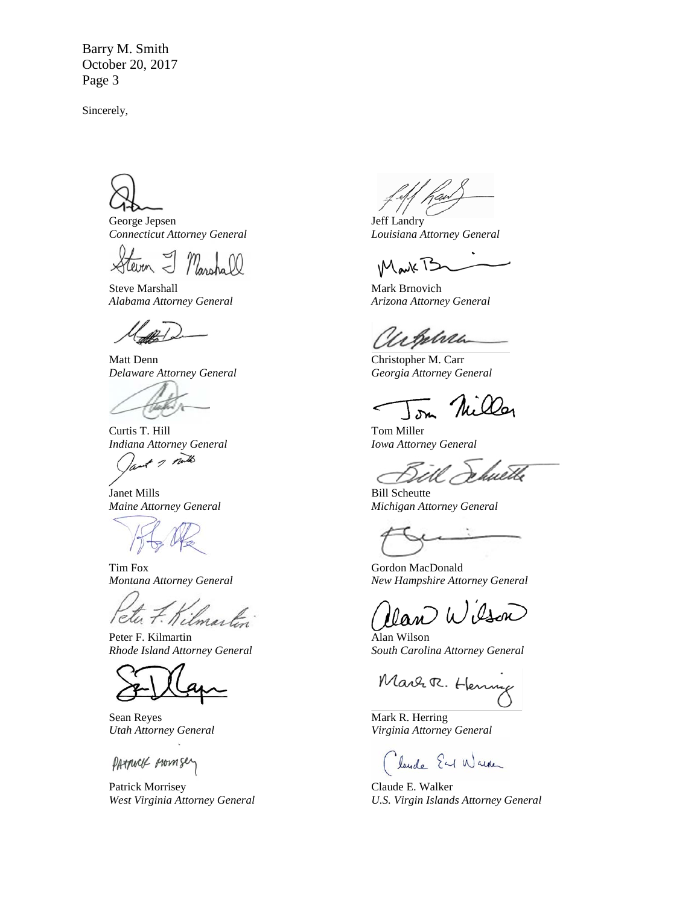Barry M. Smith October 20, 2017 Page 3

George Jepsen *Connecticut Attorney General*

Steven  $\sim$ 

Steve Marshall *Alabama Attorney General*

Matt Denn *Delaware Attorney General*

Curtis T. Hill *Indiana Attorney General*

+ 2 mills

Janet Mills *Maine Attorney General*

Tim Fox *Montana Attorney General*

Tetu 7. Kilmartin

Peter F. Kilmartin *Rhode Island Attorney General*

Sean Reyes *Utah Attorney General*

PATTUCK MOMSey

Patrick Morrisey *West Virginia Attorney General*

Jeff Landry

*Louisiana Attorney General*

MarkTS

Mark Brnovich *Arizona Attorney General*

aighne

Christopher M. Carr *Georgia Attorney General*

 $\checkmark$ om

Tom Miller *Iowa Attorney General*

n huette

Bill Scheutte *Michigan Attorney General*

Gordon MacDonald *New Hampshire Attorney General*

lan Wisson

Alan Wilson *South Carolina Attorney General*

Mart R. Hennig

Mark R. Herring *Virginia Attorney General*

Claude Earl Walker

Claude E. Walker *U.S. Virgin Islands Attorney General*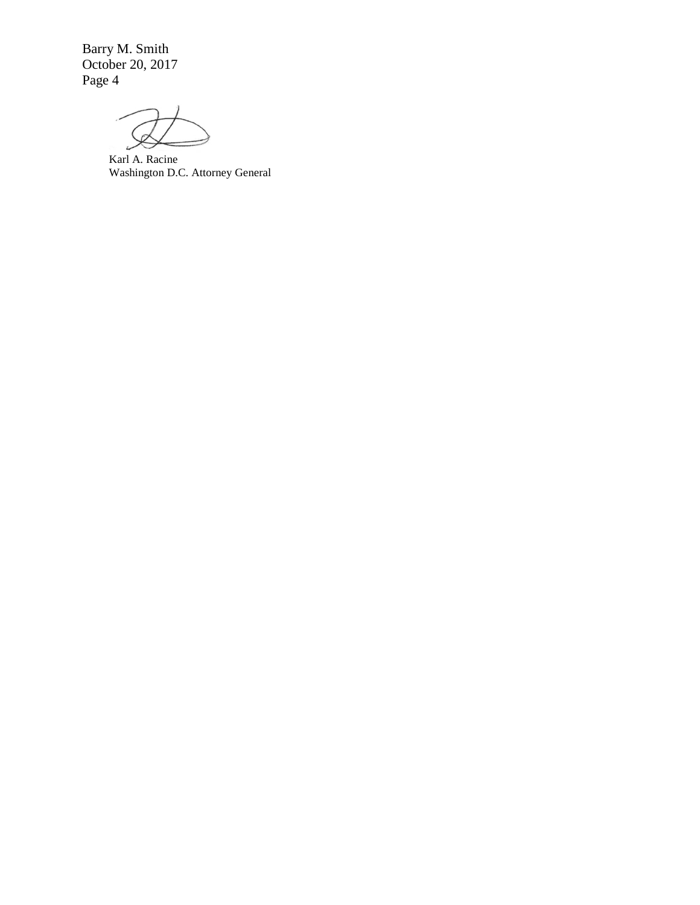Barry M. Smith October 20, 2017 Page 4

Karl A. Racine Washington D.C. Attorney General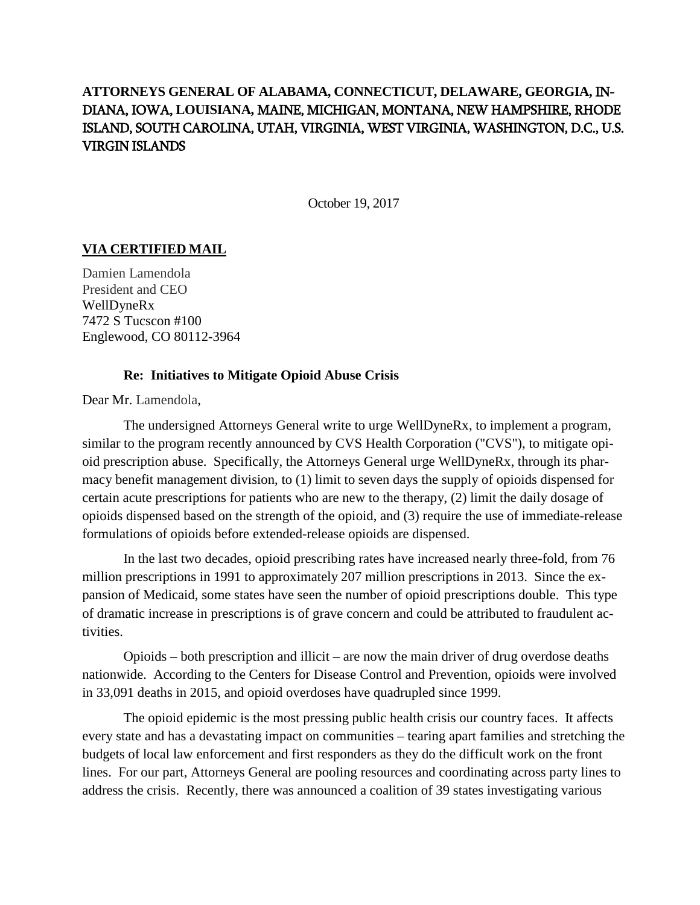# **ATTORNEYS GENERAL OF ALABAMA, CONNECTICUT, DELAWARE, GEORGIA,** IN-DIANA, IOWA, **LOUISIANA,** MAINE, MICHIGAN, MONTANA, NEW HAMPSHIRE, RHODE ISLAND, SOUTH CAROLINA, UTAH, VIRGINIA, WEST VIRGINIA, WASHINGTON, D.C., U.S. VIRGIN ISLANDS

October 19, 2017

## **VIA CERTIFIED MAIL**

Damien Lamendola President and CEO WellDyneRx 7472 S Tucscon #100 Englewood, CO 80112-3964

### **Re: Initiatives to Mitigate Opioid Abuse Crisis**

Dear Mr. Lamendola,

The undersigned Attorneys General write to urge WellDyneRx, to implement a program, similar to the program recently announced by CVS Health Corporation ("CVS"), to mitigate opioid prescription abuse. Specifically, the Attorneys General urge WellDyneRx, through its pharmacy benefit management division, to (1) limit to seven days the supply of opioids dispensed for certain acute prescriptions for patients who are new to the therapy, (2) limit the daily dosage of opioids dispensed based on the strength of the opioid, and (3) require the use of immediate-release formulations of opioids before extended-release opioids are dispensed.

In the last two decades, opioid prescribing rates have increased nearly three-fold, from 76 million prescriptions in 1991 to approximately 207 million prescriptions in 2013. Since the expansion of Medicaid, some states have seen the number of opioid prescriptions double. This type of dramatic increase in prescriptions is of grave concern and could be attributed to fraudulent activities.

Opioids – both prescription and illicit – are now the main driver of drug overdose deaths nationwide. According to the Centers for Disease Control and Prevention, opioids were involved in 33,091 deaths in 2015, and opioid overdoses have quadrupled since 1999.

The opioid epidemic is the most pressing public health crisis our country faces. It affects every state and has a devastating impact on communities – tearing apart families and stretching the budgets of local law enforcement and first responders as they do the difficult work on the front lines. For our part, Attorneys General are pooling resources and coordinating across party lines to address the crisis. Recently, there was announced a coalition of 39 states investigating various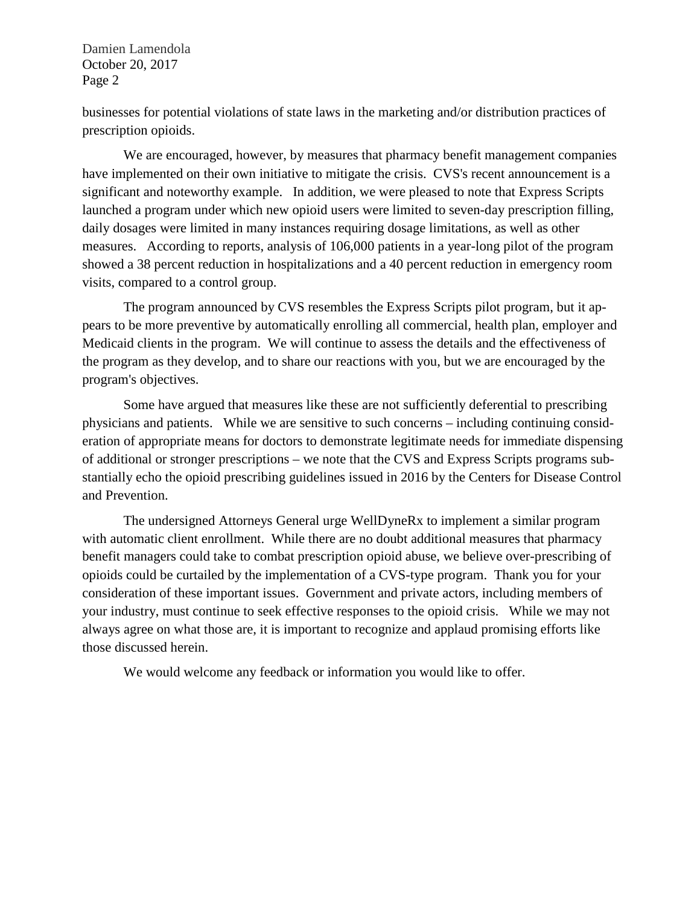Damien Lamendola October 20, 2017 Page 2

businesses for potential violations of state laws in the marketing and/or distribution practices of prescription opioids.

We are encouraged, however, by measures that pharmacy benefit management companies have implemented on their own initiative to mitigate the crisis. CVS's recent announcement is a significant and noteworthy example. In addition, we were pleased to note that Express Scripts launched a program under which new opioid users were limited to seven-day prescription filling, daily dosages were limited in many instances requiring dosage limitations, as well as other measures. According to reports, analysis of 106,000 patients in a year-long pilot of the program showed a 38 percent reduction in hospitalizations and a 40 percent reduction in emergency room visits, compared to a control group.

The program announced by CVS resembles the Express Scripts pilot program, but it appears to be more preventive by automatically enrolling all commercial, health plan, employer and Medicaid clients in the program. We will continue to assess the details and the effectiveness of the program as they develop, and to share our reactions with you, but we are encouraged by the program's objectives.

Some have argued that measures like these are not sufficiently deferential to prescribing physicians and patients. While we are sensitive to such concerns – including continuing consideration of appropriate means for doctors to demonstrate legitimate needs for immediate dispensing of additional or stronger prescriptions – we note that the CVS and Express Scripts programs substantially echo the opioid prescribing guidelines issued in 2016 by the Centers for Disease Control and Prevention.

The undersigned Attorneys General urge WellDyneRx to implement a similar program with automatic client enrollment. While there are no doubt additional measures that pharmacy benefit managers could take to combat prescription opioid abuse, we believe over-prescribing of opioids could be curtailed by the implementation of a CVS-type program. Thank you for your consideration of these important issues. Government and private actors, including members of your industry, must continue to seek effective responses to the opioid crisis. While we may not always agree on what those are, it is important to recognize and applaud promising efforts like those discussed herein.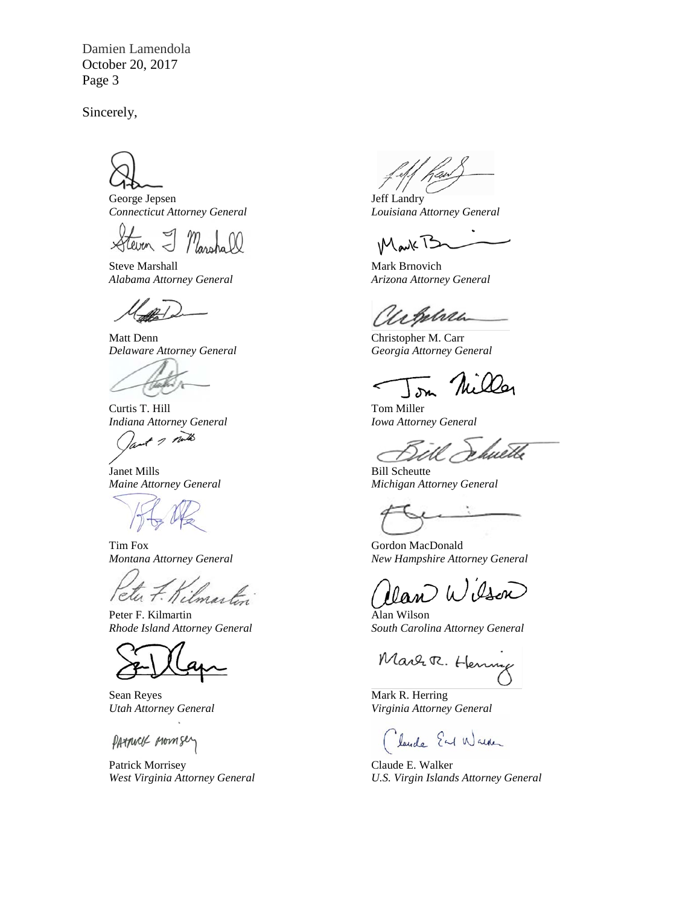Damien Lamendola October 20, 2017 Page 3

George Jepsen *Connecticut Attorney General*

Steve Marshall *Alabama Attorney General*

Matt Denn *Delaware Attorney General*

Curtis T. Hill *Indiana Attorney General*

of a nutto

Janet Mills *Maine Attorney General*

Tim Fox *Montana Attorney General*

Peter 7. Kilmartin

Peter F. Kilmartin *Rhode Island Attorney General*

Sean Reyes *Utah Attorney General*

PATTUCK MOMSey

Patrick Morrisey *West Virginia Attorney General*

Jeff Landry *Louisiana Attorney General*

Mark P

Mark Brnovich *Arizona Attorney General*

Wheles

Christopher M. Carr *Georgia Attorney General*

Miller ←

Tom Miller *Iowa Attorney General*

 $\sqrt{}$ 

Bill Scheutte *Michigan Attorney General*

Gordon MacDonald *New Hampshire Attorney General*

lan Wisson

Alan Wilson *South Carolina Attorney General*

Marr R. Henny

Mark R. Herring *Virginia Attorney General*

Claude Earl Warner

Claude E. Walker *U.S. Virgin Islands Attorney General*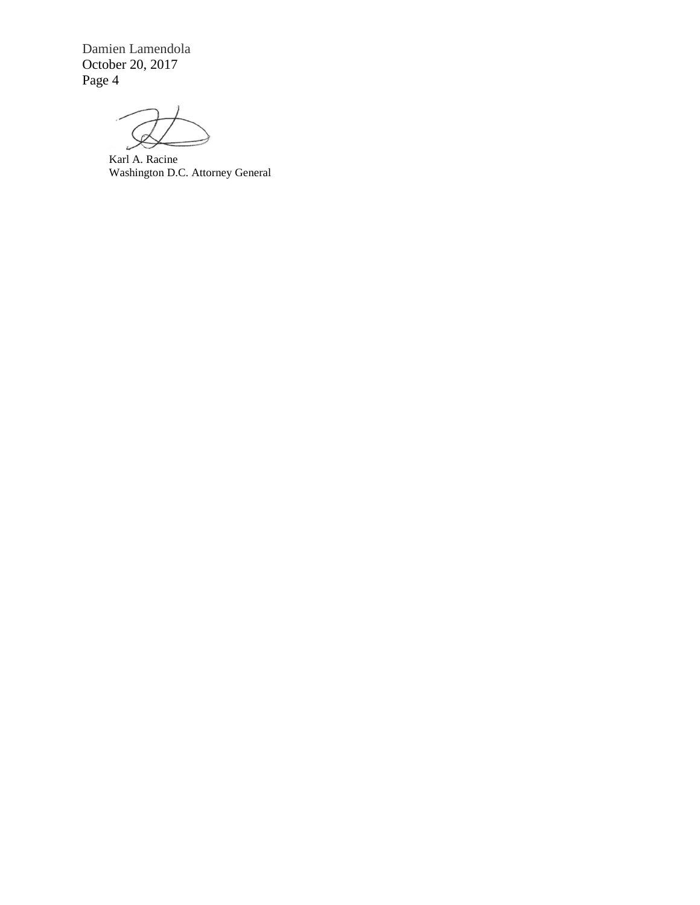Damien Lamendola October 20, 2017 Page 4

Karl A. Racine Washington D.C. Attorney General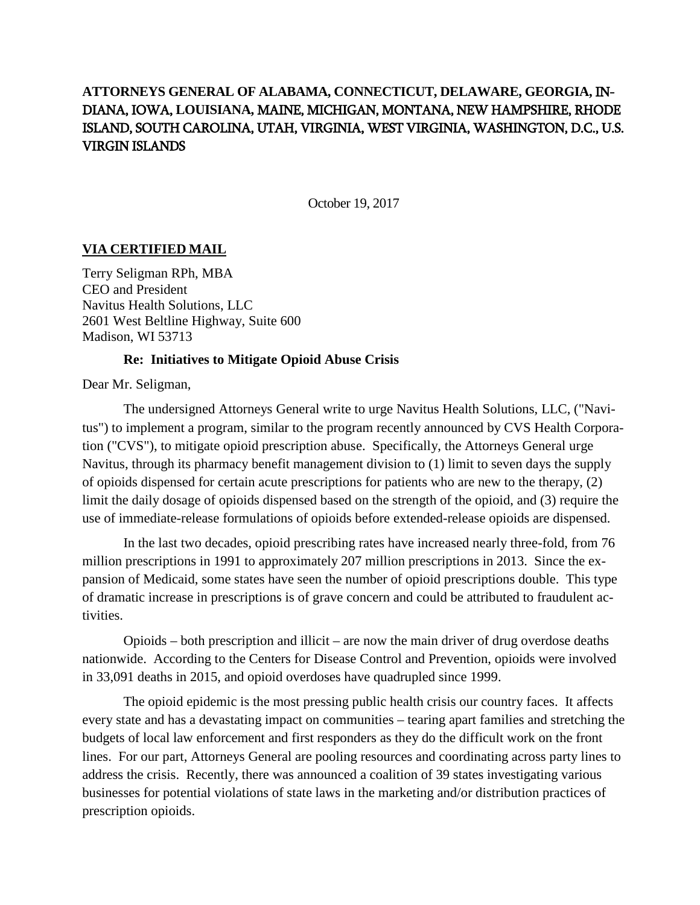# **ATTORNEYS GENERAL OF ALABAMA, CONNECTICUT, DELAWARE, GEORGIA,** IN-DIANA, IOWA, **LOUISIANA,** MAINE, MICHIGAN, MONTANA, NEW HAMPSHIRE, RHODE ISLAND, SOUTH CAROLINA, UTAH, VIRGINIA, WEST VIRGINIA, WASHINGTON, D.C., U.S. VIRGIN ISLANDS

October 19, 2017

## **VIA CERTIFIED MAIL**

Terry Seligman RPh, MBA CEO and President Navitus Health Solutions, LLC 2601 West Beltline Highway, Suite 600 Madison, WI 53713

#### **Re: Initiatives to Mitigate Opioid Abuse Crisis**

Dear Mr. Seligman,

The undersigned Attorneys General write to urge Navitus Health Solutions, LLC, ("Navitus") to implement a program, similar to the program recently announced by CVS Health Corporation ("CVS"), to mitigate opioid prescription abuse. Specifically, the Attorneys General urge Navitus, through its pharmacy benefit management division to (1) limit to seven days the supply of opioids dispensed for certain acute prescriptions for patients who are new to the therapy, (2) limit the daily dosage of opioids dispensed based on the strength of the opioid, and (3) require the use of immediate-release formulations of opioids before extended-release opioids are dispensed.

In the last two decades, opioid prescribing rates have increased nearly three-fold, from 76 million prescriptions in 1991 to approximately 207 million prescriptions in 2013. Since the expansion of Medicaid, some states have seen the number of opioid prescriptions double. This type of dramatic increase in prescriptions is of grave concern and could be attributed to fraudulent activities.

Opioids – both prescription and illicit – are now the main driver of drug overdose deaths nationwide. According to the Centers for Disease Control and Prevention, opioids were involved in 33,091 deaths in 2015, and opioid overdoses have quadrupled since 1999.

The opioid epidemic is the most pressing public health crisis our country faces. It affects every state and has a devastating impact on communities – tearing apart families and stretching the budgets of local law enforcement and first responders as they do the difficult work on the front lines. For our part, Attorneys General are pooling resources and coordinating across party lines to address the crisis. Recently, there was announced a coalition of 39 states investigating various businesses for potential violations of state laws in the marketing and/or distribution practices of prescription opioids.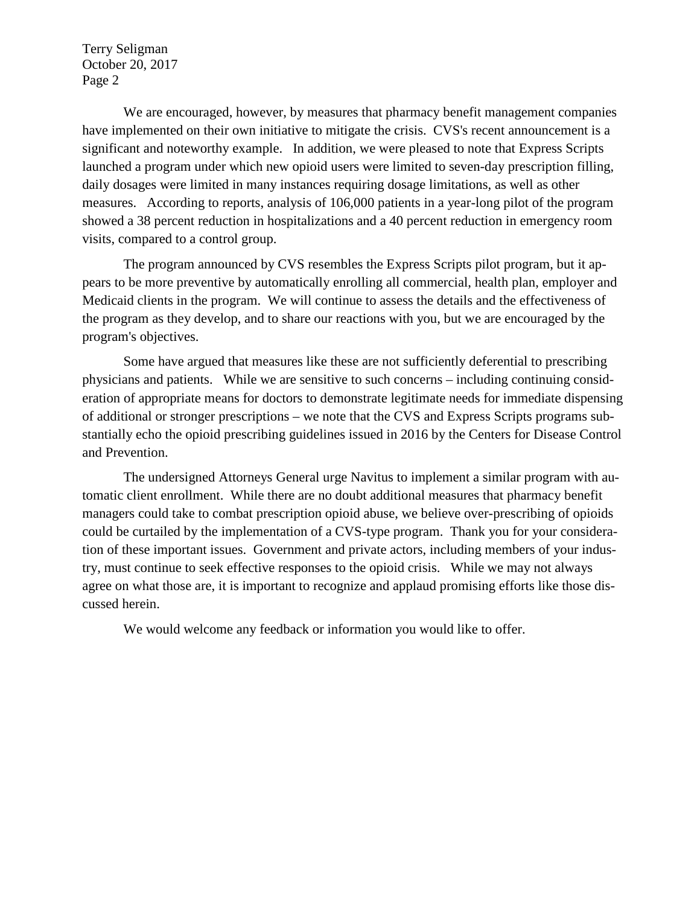Terry Seligman October 20, 2017 Page 2

We are encouraged, however, by measures that pharmacy benefit management companies have implemented on their own initiative to mitigate the crisis. CVS's recent announcement is a significant and noteworthy example. In addition, we were pleased to note that Express Scripts launched a program under which new opioid users were limited to seven-day prescription filling, daily dosages were limited in many instances requiring dosage limitations, as well as other measures. According to reports, analysis of 106,000 patients in a year-long pilot of the program showed a 38 percent reduction in hospitalizations and a 40 percent reduction in emergency room visits, compared to a control group.

The program announced by CVS resembles the Express Scripts pilot program, but it appears to be more preventive by automatically enrolling all commercial, health plan, employer and Medicaid clients in the program. We will continue to assess the details and the effectiveness of the program as they develop, and to share our reactions with you, but we are encouraged by the program's objectives.

Some have argued that measures like these are not sufficiently deferential to prescribing physicians and patients. While we are sensitive to such concerns – including continuing consideration of appropriate means for doctors to demonstrate legitimate needs for immediate dispensing of additional or stronger prescriptions – we note that the CVS and Express Scripts programs substantially echo the opioid prescribing guidelines issued in 2016 by the Centers for Disease Control and Prevention.

The undersigned Attorneys General urge Navitus to implement a similar program with automatic client enrollment. While there are no doubt additional measures that pharmacy benefit managers could take to combat prescription opioid abuse, we believe over-prescribing of opioids could be curtailed by the implementation of a CVS-type program. Thank you for your consideration of these important issues. Government and private actors, including members of your industry, must continue to seek effective responses to the opioid crisis. While we may not always agree on what those are, it is important to recognize and applaud promising efforts like those discussed herein.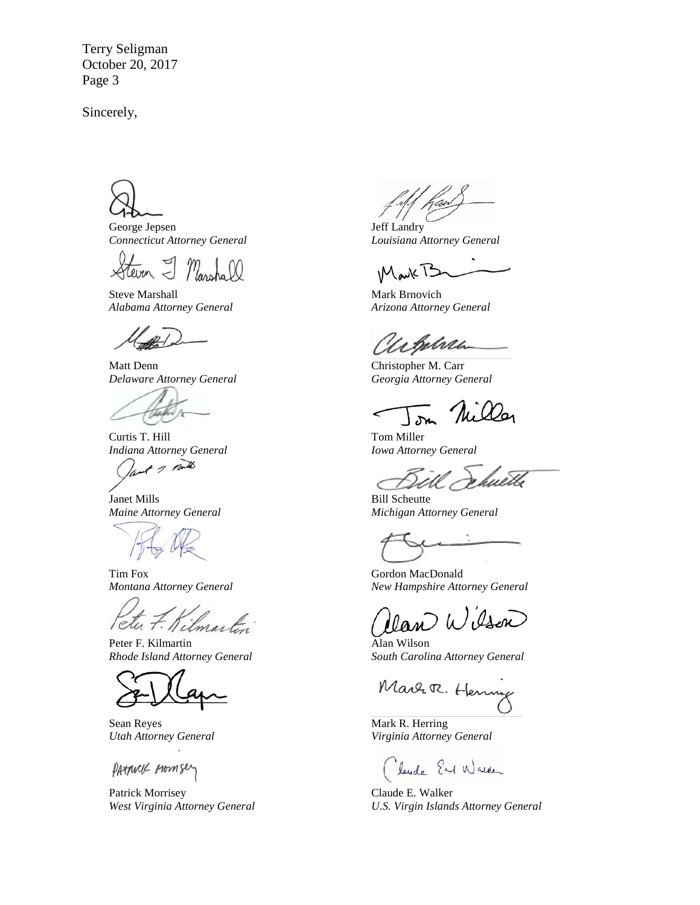Terry Seligman October 20, 2017 Page 3

George Jepsen *Connecticut Attorney General*

Steve Marshall *Alabama Attorney General*

Matt Denn *Delaware Attorney General*

Curtis T. Hill *Indiana Attorney General*

of a nutto

Janet Mills *Maine Attorney General*

Tim Fox *Montana Attorney General*

Tetu 7. Kilmartin

Peter F. Kilmartin *Rhode Island Attorney General*

Sean Reyes *Utah Attorney General*

PATTUCK MOMSey

Patrick Morrisey *West Virginia Attorney General*

Jeff Landry *Louisiana Attorney General*

**IMark** T

Mark Brnovich *Arizona Attorney General*

Urphra

Christopher M. Carr *Georgia Attorney General*

Tom Miller *Iowa Attorney General*

łuetle

Bill Scheutte *Michigan Attorney General*

Gordon MacDonald *New Hampshire Attorney General*

Wilson

Alan Wilson *South Carolina Attorney General*

Mart R. Henny

Mark R. Herring *Virginia Attorney General*

Claude Earl Warker

Claude E. Walker *U.S. Virgin Islands Attorney General*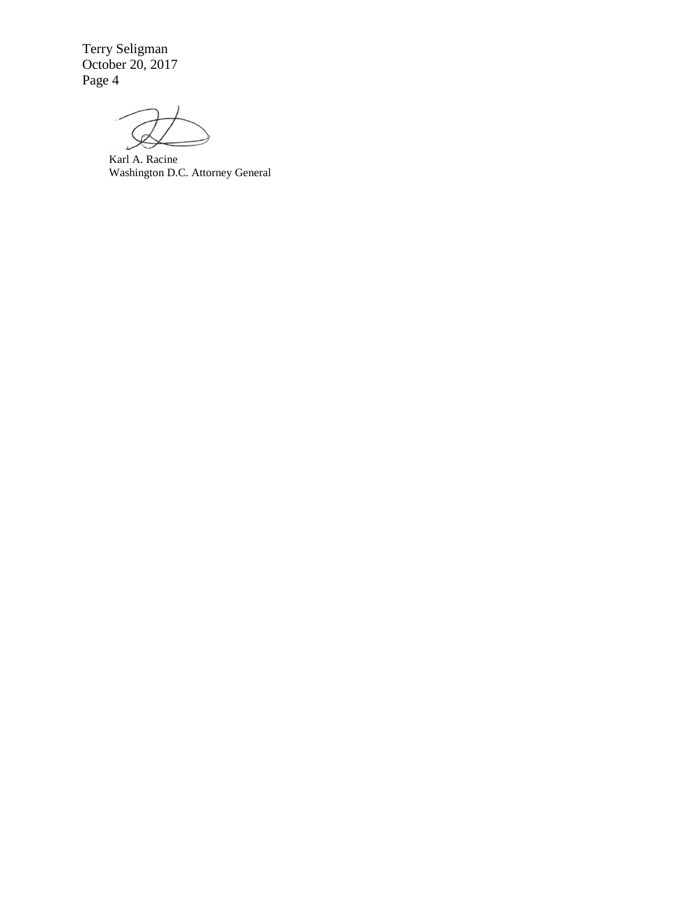Terry Seligman October 20, 2017 Page 4

Karl A. Racine Washington D.C. Attorney General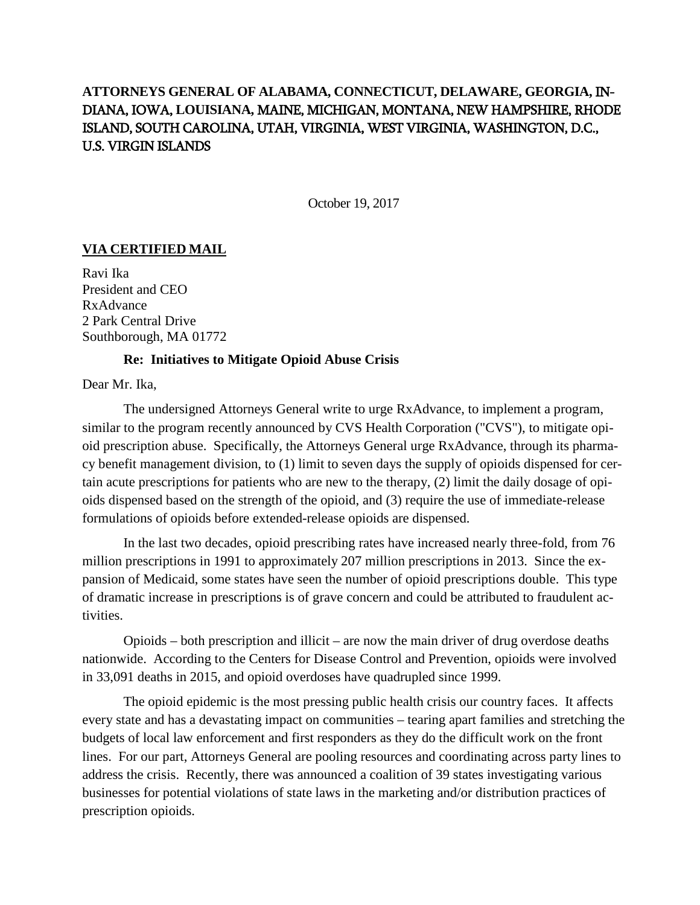# **ATTORNEYS GENERAL OF ALABAMA, CONNECTICUT, DELAWARE, GEORGIA,** IN-DIANA, IOWA, **LOUISIANA,** MAINE, MICHIGAN, MONTANA, NEW HAMPSHIRE, RHODE ISLAND, SOUTH CAROLINA, UTAH, VIRGINIA, WEST VIRGINIA, WASHINGTON, D.C., U.S. VIRGIN ISLANDS

October 19, 2017

## **VIA CERTIFIED MAIL**

Ravi Ika President and CEO RxAdvance 2 Park Central Drive Southborough, MA 01772

#### **Re: Initiatives to Mitigate Opioid Abuse Crisis**

Dear Mr. Ika,

The undersigned Attorneys General write to urge RxAdvance, to implement a program, similar to the program recently announced by CVS Health Corporation ("CVS"), to mitigate opioid prescription abuse. Specifically, the Attorneys General urge RxAdvance, through its pharmacy benefit management division, to (1) limit to seven days the supply of opioids dispensed for certain acute prescriptions for patients who are new to the therapy, (2) limit the daily dosage of opioids dispensed based on the strength of the opioid, and (3) require the use of immediate-release formulations of opioids before extended-release opioids are dispensed.

In the last two decades, opioid prescribing rates have increased nearly three-fold, from 76 million prescriptions in 1991 to approximately 207 million prescriptions in 2013. Since the expansion of Medicaid, some states have seen the number of opioid prescriptions double. This type of dramatic increase in prescriptions is of grave concern and could be attributed to fraudulent activities.

Opioids – both prescription and illicit – are now the main driver of drug overdose deaths nationwide. According to the Centers for Disease Control and Prevention, opioids were involved in 33,091 deaths in 2015, and opioid overdoses have quadrupled since 1999.

The opioid epidemic is the most pressing public health crisis our country faces. It affects every state and has a devastating impact on communities – tearing apart families and stretching the budgets of local law enforcement and first responders as they do the difficult work on the front lines. For our part, Attorneys General are pooling resources and coordinating across party lines to address the crisis. Recently, there was announced a coalition of 39 states investigating various businesses for potential violations of state laws in the marketing and/or distribution practices of prescription opioids.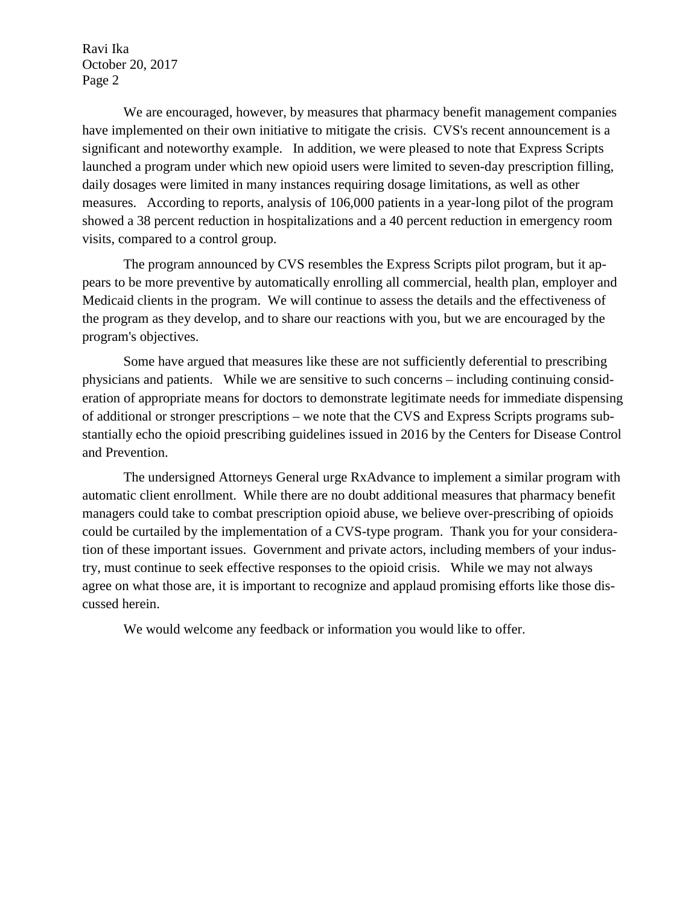Ravi Ika October 20, 2017 Page 2

We are encouraged, however, by measures that pharmacy benefit management companies have implemented on their own initiative to mitigate the crisis. CVS's recent announcement is a significant and noteworthy example. In addition, we were pleased to note that Express Scripts launched a program under which new opioid users were limited to seven-day prescription filling, daily dosages were limited in many instances requiring dosage limitations, as well as other measures. According to reports, analysis of 106,000 patients in a year-long pilot of the program showed a 38 percent reduction in hospitalizations and a 40 percent reduction in emergency room visits, compared to a control group.

The program announced by CVS resembles the Express Scripts pilot program, but it appears to be more preventive by automatically enrolling all commercial, health plan, employer and Medicaid clients in the program. We will continue to assess the details and the effectiveness of the program as they develop, and to share our reactions with you, but we are encouraged by the program's objectives.

Some have argued that measures like these are not sufficiently deferential to prescribing physicians and patients. While we are sensitive to such concerns – including continuing consideration of appropriate means for doctors to demonstrate legitimate needs for immediate dispensing of additional or stronger prescriptions – we note that the CVS and Express Scripts programs substantially echo the opioid prescribing guidelines issued in 2016 by the Centers for Disease Control and Prevention.

The undersigned Attorneys General urge RxAdvance to implement a similar program with automatic client enrollment. While there are no doubt additional measures that pharmacy benefit managers could take to combat prescription opioid abuse, we believe over-prescribing of opioids could be curtailed by the implementation of a CVS-type program. Thank you for your consideration of these important issues. Government and private actors, including members of your industry, must continue to seek effective responses to the opioid crisis. While we may not always agree on what those are, it is important to recognize and applaud promising efforts like those discussed herein.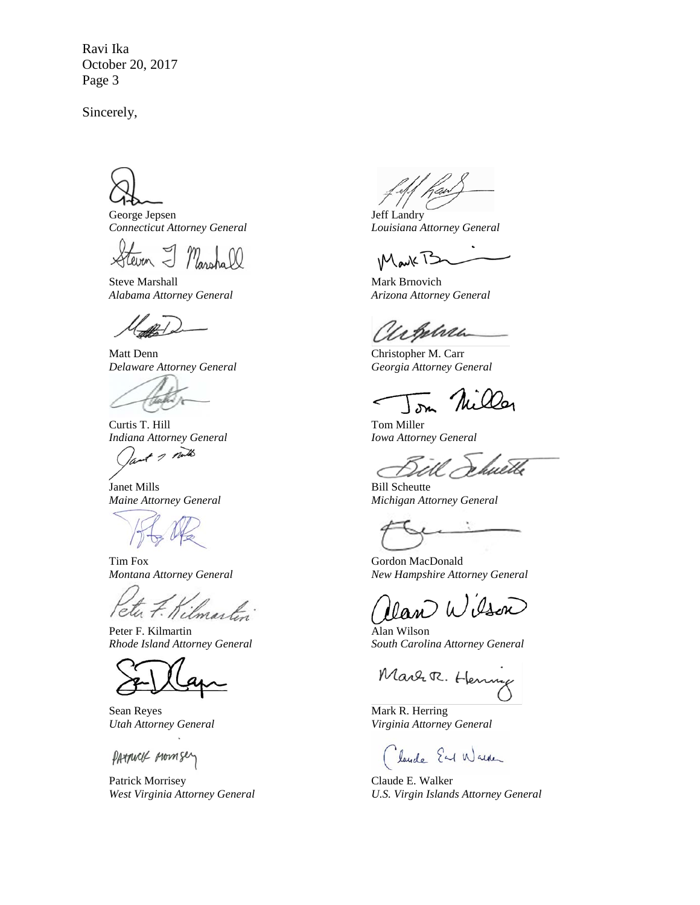Ravi Ika October 20, 2017 Page 3

George Jepsen *Connecticut Attorney General*

Steven -Massho

Steve Marshall *Alabama Attorney General*

Matt Denn *Delaware Attorney General*

Curtis T. Hill *Indiana Attorney General*

of I talk

Janet Mills *Maine Attorney General*

Tim Fox *Montana Attorney General*

Peter F. Kilmartin

Peter F. Kilmartin *Rhode Island Attorney General*

Sean Reyes *Utah Attorney General*

PATTUCK MOMSey

Patrick Morrisey *West Virginia Attorney General*

Jeff Landry

*Louisiana Attorney General*

Mark B

Mark Brnovich *Arizona Attorney General*

Whena

Christopher M. Carr *Georgia Attorney General*

Tom Miller *Iowa Attorney General*

hwetb

Bill Scheutte *Michigan Attorney General*

Gordon MacDonald *New Hampshire Attorney General*

lan Wisson

Alan Wilson *South Carolina Attorney General*

Marr R. Hennie

Mark R. Herring *Virginia Attorney General*

Claude Earl Walker

Claude E. Walker *U.S. Virgin Islands Attorney General*